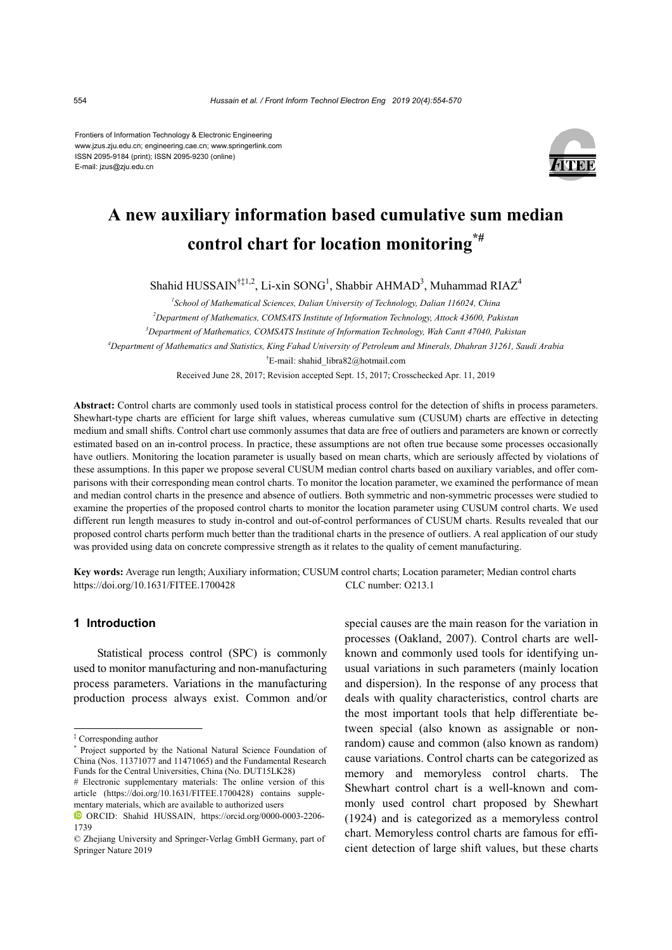Frontiers of Information Technology & Electronic Engineering www.jzus.zju.edu.cn; engineering.cae.cn; www.springerlink.com ISSN 2095-9184 (print); ISSN 2095-9230 (online) E-mail: jzus@zju.edu.cn



# **A new auxiliary information based cumulative sum median control chart for location monitoring\*#**

Shahid HUSSAIN<sup>†‡1,2</sup>, Li-xin SONG<sup>1</sup>, Shabbir AHMAD<sup>3</sup>, Muhammad RIAZ<sup>4</sup>

<sup>1</sup> School of Mathematical Sciences, Dalian University of Technology, Dalian 116024, China *2 Department of Mathematics, COMSATS Institute of Information Technology, Attock 43600, Pakistan 3 Department of Mathematics, COMSATS Institute of Information Technology, Wah Cantt 47040, Pakistan 4 Department of Mathematics and Statistics, King Fahad University of Petroleum and Minerals, Dhahran 31261, Saudi Arabia* † E-mail: shahid\_libra82@hotmail.com

Received June 28, 2017; Revision accepted Sept. 15, 2017; Crosschecked Apr. 11, 2019

**Abstract:** Control charts are commonly used tools in statistical process control for the detection of shifts in process parameters. Shewhart-type charts are efficient for large shift values, whereas cumulative sum (CUSUM) charts are effective in detecting medium and small shifts. Control chart use commonly assumes that data are free of outliers and parameters are known or correctly estimated based on an in-control process. In practice, these assumptions are not often true because some processes occasionally have outliers. Monitoring the location parameter is usually based on mean charts, which are seriously affected by violations of these assumptions. In this paper we propose several CUSUM median control charts based on auxiliary variables, and offer comparisons with their corresponding mean control charts. To monitor the location parameter, we examined the performance of mean and median control charts in the presence and absence of outliers. Both symmetric and non-symmetric processes were studied to examine the properties of the proposed control charts to monitor the location parameter using CUSUM control charts. We used different run length measures to study in-control and out-of-control performances of CUSUM charts. Results revealed that our proposed control charts perform much better than the traditional charts in the presence of outliers. A real application of our study was provided using data on concrete compressive strength as it relates to the quality of cement manufacturing.

**Key words:** Average run length; Auxiliary information; CUSUM control charts; Location parameter; Median control charts https://doi.org/10.1631/FITEE.1700428 CLC number: O213.1

## **1 Introduction**

Statistical process control (SPC) is commonly used to monitor manufacturing and non-manufacturing process parameters. Variations in the manufacturing production process always exist. Common and/or special causes are the main reason for the variation in processes (Oakland, 2007). Control charts are wellknown and commonly used tools for identifying unusual variations in such parameters (mainly location and dispersion). In the response of any process that deals with quality characteristics, control charts are the most important tools that help differentiate between special (also known as assignable or nonrandom) cause and common (also known as random) cause variations. Control charts can be categorized as memory and memoryless control charts. The Shewhart control chart is a well-known and commonly used control chart proposed by Shewhart (1924) and is categorized as a memoryless control chart. Memoryless control charts are famous for efficient detection of large shift values, but these charts

<sup>‡</sup> Corresponding author

<sup>\*</sup> Project supported by the National Natural Science Foundation of China (Nos. 11371077 and 11471065) and the Fundamental Research Funds for the Central Universities, China (No. DUT15LK28)

<sup>#</sup> Electronic supplementary materials: The online version of this article (https://doi.org/10.1631/FITEE.1700428) contains supplementary materials, which are available to authorized users

ORCID: Shahid HUSSAIN, https://orcid.org/0000-0003-2206- 1739

<sup>©</sup> Zhejiang University and Springer-Verlag GmbH Germany, part of Springer Nature 2019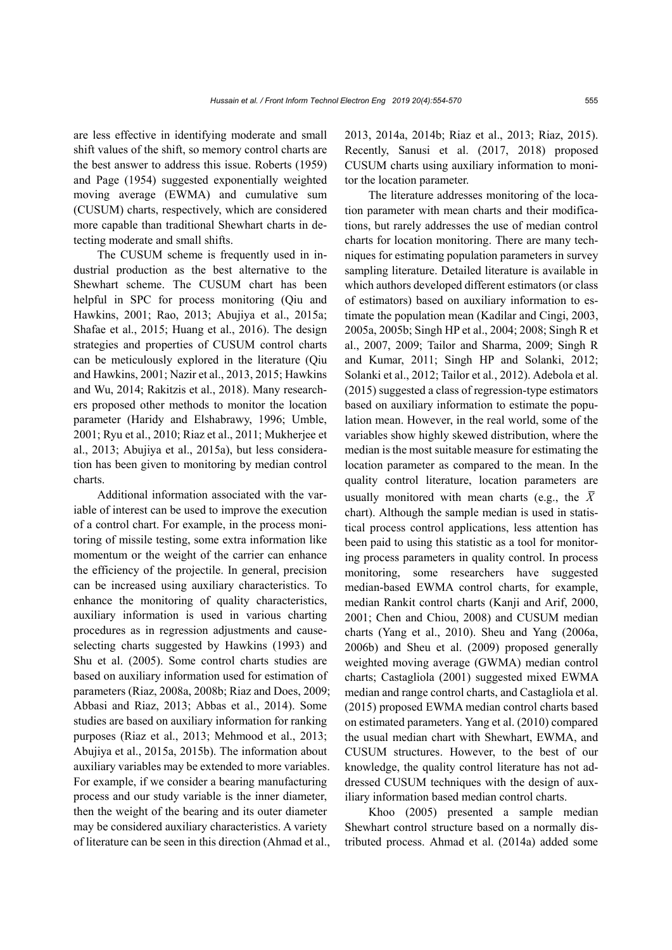are less effective in identifying moderate and small shift values of the shift, so memory control charts are the best answer to address this issue. Roberts (1959) and Page (1954) suggested exponentially weighted moving average (EWMA) and cumulative sum (CUSUM) charts, respectively, which are considered more capable than traditional Shewhart charts in detecting moderate and small shifts.

The CUSUM scheme is frequently used in industrial production as the best alternative to the Shewhart scheme. The CUSUM chart has been helpful in SPC for process monitoring (Qiu and Hawkins, 2001; Rao, 2013; Abujiya et al., 2015a; Shafae et al., 2015; Huang et al., 2016). The design strategies and properties of CUSUM control charts can be meticulously explored in the literature (Qiu and Hawkins, 2001; Nazir et al., 2013, 2015; Hawkins and Wu, 2014; Rakitzis et al., 2018). Many researchers proposed other methods to monitor the location parameter (Haridy and Elshabrawy, 1996; Umble, 2001; Ryu et al., 2010; Riaz et al., 2011; Mukherjee et al., 2013; Abujiya et al., 2015a), but less consideration has been given to monitoring by median control charts.

Additional information associated with the variable of interest can be used to improve the execution of a control chart. For example, in the process monitoring of missile testing, some extra information like momentum or the weight of the carrier can enhance the efficiency of the projectile. In general, precision can be increased using auxiliary characteristics. To enhance the monitoring of quality characteristics, auxiliary information is used in various charting procedures as in regression adjustments and causeselecting charts suggested by Hawkins (1993) and Shu et al. (2005). Some control charts studies are based on auxiliary information used for estimation of parameters (Riaz, 2008a, 2008b; Riaz and Does, 2009; Abbasi and Riaz, 2013; Abbas et al., 2014). Some studies are based on auxiliary information for ranking purposes (Riaz et al., 2013; Mehmood et al., 2013; Abujiya et al., 2015a, 2015b). The information about auxiliary variables may be extended to more variables. For example, if we consider a bearing manufacturing process and our study variable is the inner diameter, then the weight of the bearing and its outer diameter may be considered auxiliary characteristics. A variety of literature can be seen in this direction (Ahmad et al.,

2013, 2014a, 2014b; Riaz et al., 2013; Riaz, 2015). Recently, Sanusi et al. (2017, 2018) proposed CUSUM charts using auxiliary information to monitor the location parameter.

The literature addresses monitoring of the location parameter with mean charts and their modifications, but rarely addresses the use of median control charts for location monitoring. There are many techniques for estimating population parameters in survey sampling literature. Detailed literature is available in which authors developed different estimators (or class of estimators) based on auxiliary information to estimate the population mean (Kadilar and Cingi, 2003, 2005a, 2005b; Singh HP et al., 2004; 2008; Singh R et al., 2007, 2009; Tailor and Sharma, 2009; Singh R and Kumar, 2011; Singh HP and Solanki, 2012; Solanki et al., 2012; Tailor et al*.*, 2012). Adebola et al. (2015) suggested a class of regression-type estimators based on auxiliary information to estimate the population mean. However, in the real world, some of the variables show highly skewed distribution, where the median is the most suitable measure for estimating the location parameter as compared to the mean. In the quality control literature, location parameters are usually monitored with mean charts (e.g., the  $\bar{X}$ chart). Although the sample median is used in statistical process control applications, less attention has been paid to using this statistic as a tool for monitoring process parameters in quality control. In process monitoring, some researchers have suggested median-based EWMA control charts, for example, median Rankit control charts (Kanji and Arif, 2000, 2001; Chen and Chiou, 2008) and CUSUM median charts (Yang et al., 2010). Sheu and Yang (2006a, 2006b) and Sheu et al. (2009) proposed generally weighted moving average (GWMA) median control charts; Castagliola (2001) suggested mixed EWMA median and range control charts, and Castagliola et al. (2015) proposed EWMA median control charts based on estimated parameters. Yang et al. (2010) compared the usual median chart with Shewhart, EWMA, and CUSUM structures. However, to the best of our knowledge, the quality control literature has not addressed CUSUM techniques with the design of auxiliary information based median control charts.

Khoo (2005) presented a sample median Shewhart control structure based on a normally distributed process. Ahmad et al. (2014a) added some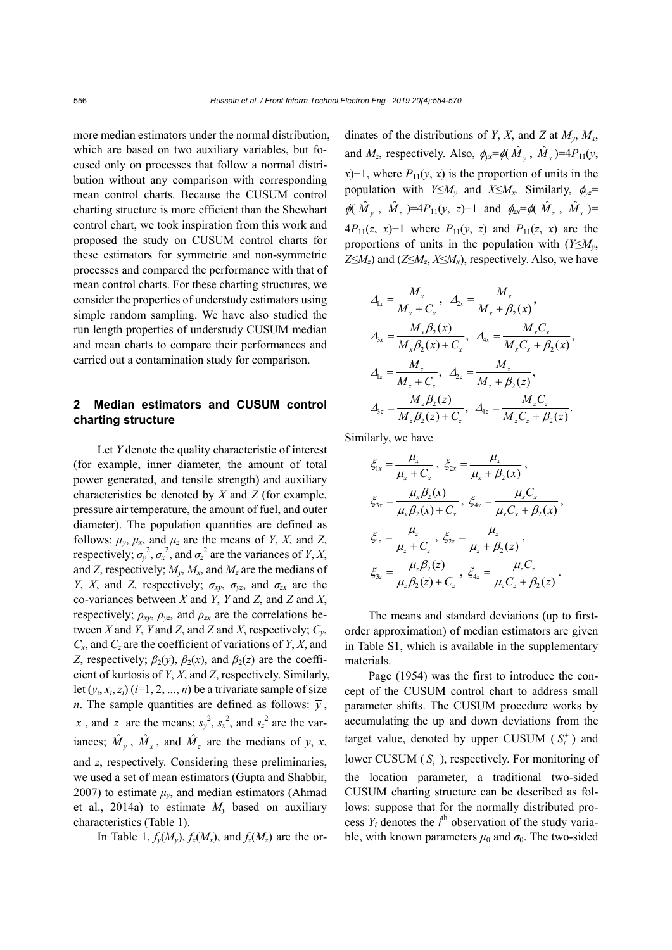more median estimators under the normal distribution, which are based on two auxiliary variables, but focused only on processes that follow a normal distribution without any comparison with corresponding mean control charts. Because the CUSUM control charting structure is more efficient than the Shewhart control chart, we took inspiration from this work and proposed the study on CUSUM control charts for these estimators for symmetric and non-symmetric processes and compared the performance with that of mean control charts. For these charting structures, we consider the properties of understudy estimators using simple random sampling. We have also studied the run length properties of understudy CUSUM median and mean charts to compare their performances and carried out a contamination study for comparison.

# **2 Median estimators and CUSUM control charting structure**

Let *Y* denote the quality characteristic of interest (for example, inner diameter, the amount of total power generated, and tensile strength) and auxiliary characteristics be denoted by *X* and *Z* (for example, pressure air temperature, the amount of fuel, and outer diameter). The population quantities are defined as follows:  $\mu_y$ ,  $\mu_x$ , and  $\mu_z$  are the means of *Y*, *X*, and *Z*, respectively;  $\sigma_y^2$ ,  $\sigma_x^2$ , and  $\sigma_z^2$  are the variances of *Y*, *X*, and *Z*, respectively;  $M_y$ ,  $M_x$ , and  $M_z$  are the medians of *Y*, *X*, and *Z*, respectively;  $\sigma_{xy}$ ,  $\sigma_{yz}$ , and  $\sigma_{zx}$  are the co-variances between *X* and *Y*, *Y* and *Z*, and *Z* and *X*, respectively;  $\rho_{xy}$ ,  $\rho_{yz}$ , and  $\rho_{zx}$  are the correlations between *X* and *Y*, *Y* and *Z*, and *Z* and *X*, respectively;  $C_v$ , *Cx*, and *Cz* are the coefficient of variations of *Y*, *X*, and *Z*, respectively;  $\beta_2(y)$ ,  $\beta_2(x)$ , and  $\beta_2(z)$  are the coefficient of kurtosis of *Y*, *X*, and *Z*, respectively. Similarly, let  $(y_i, x_i, z_i)$  ( $i=1, 2, ..., n$ ) be a trivariate sample of size *n*. The sample quantities are defined as follows:  $\overline{y}$ ,  $\overline{x}$ , and  $\overline{z}$  are the means;  $s_y^2$ ,  $s_x^2$ , and  $s_z^2$  are the variances;  $\hat{M}_y$ ,  $\hat{M}_x$ , and  $\hat{M}_z$  are the medians of *y*, *x*, and *z*, respectively. Considering these preliminaries, we used a set of mean estimators (Gupta and Shabbir, 2007) to estimate  $\mu_{\nu}$ , and median estimators (Ahmad et al., 2014a) to estimate  $M_v$  based on auxiliary characteristics (Table 1).

In Table 1,  $f_v(M_v)$ ,  $f_x(M_x)$ , and  $f_z(M_z)$  are the or-

dinates of the distributions of *Y*, *X*, and *Z* at *My*, *Mx*, and  $M_z$ , respectively. Also,  $\phi_{yx} = \phi(\hat{M}_x, \hat{M}_x) = 4P_{11}(y,$ *x*)−1, where  $P_{11}(y, x)$  is the proportion of units in the population with *Y*≤*M<sub>y</sub>* and *X*≤*M<sub>x</sub>*. Similarly,  $\phi_{yz}$ =  $\phi(\hat{M}_x, \hat{M}_z) = 4P_{11}(y, z) - 1$  and  $\phi_{zx} = \phi(\hat{M}_z, \hat{M}_z) =$ 4*P*11(*z*, *x*)−1 where *P*11(*y*, *z*) and *P*11(*z*, *x*) are the proportions of units in the population with  $(Y \leq M_{\nu})$ , *Z*≤*Mz*) and (*Z*≤*Mz*, *X*≤*Mx*), respectively. Also, we have

$$
A_{x} = \frac{M_{x}}{M_{x} + C_{x}}, \quad A_{2x} = \frac{M_{x}}{M_{x} + \beta_{2}(x)},
$$
  
\n
$$
A_{3x} = \frac{M_{x}\beta_{2}(x)}{M_{x}\beta_{2}(x) + C_{x}}, \quad A_{4x} = \frac{M_{x}C_{x}}{M_{x}C_{x} + \beta_{2}(x)},
$$
  
\n
$$
A_{z} = \frac{M_{z}}{M_{z} + C_{z}}, \quad A_{2z} = \frac{M_{z}}{M_{z} + \beta_{2}(z)},
$$
  
\n
$$
A_{3z} = \frac{M_{z}\beta_{2}(z)}{M_{z}\beta_{2}(z) + C_{z}}, \quad A_{4z} = \frac{M_{z}C_{z}}{M_{z}C_{z} + \beta_{2}(z)}.
$$

Similarly, we have

$$
\xi_{1x} = \frac{\mu_x}{\mu_x + C_x}, \xi_{2x} = \frac{\mu_x}{\mu_x + \beta_2(x)},
$$
\n
$$
\xi_{3x} = \frac{\mu_x \beta_2(x)}{\mu_x \beta_2(x) + C_x}, \xi_{4x} = \frac{\mu_x C_x}{\mu_x C_x + \beta_2(x)},
$$
\n
$$
\xi_{1z} = \frac{\mu_z}{\mu_z + C_z}, \xi_{2z} = \frac{\mu_z}{\mu_z + \beta_2(z)},
$$
\n
$$
\xi_{3z} = \frac{\mu_z \beta_2(z)}{\mu_z \beta_2(z) + C_z}, \xi_{4z} = \frac{\mu_z C_z}{\mu_z C_z + \beta_2(z)}.
$$

The means and standard deviations (up to firstorder approximation) of median estimators are given in Table S1, which is available in the supplementary materials.

Page (1954) was the first to introduce the concept of the CUSUM control chart to address small parameter shifts. The CUSUM procedure works by accumulating the up and down deviations from the target value, denoted by upper CUSUM  $(S_i^+)$  and lower CUSUM  $(S<sub>i</sub><sup>-</sup>)$ , respectively. For monitoring of the location parameter, a traditional two-sided CUSUM charting structure can be described as follows: suppose that for the normally distributed process  $Y_i$  denotes the  $i^{\text{th}}$  observation of the study variable, with known parameters  $\mu_0$  and  $\sigma_0$ . The two-sided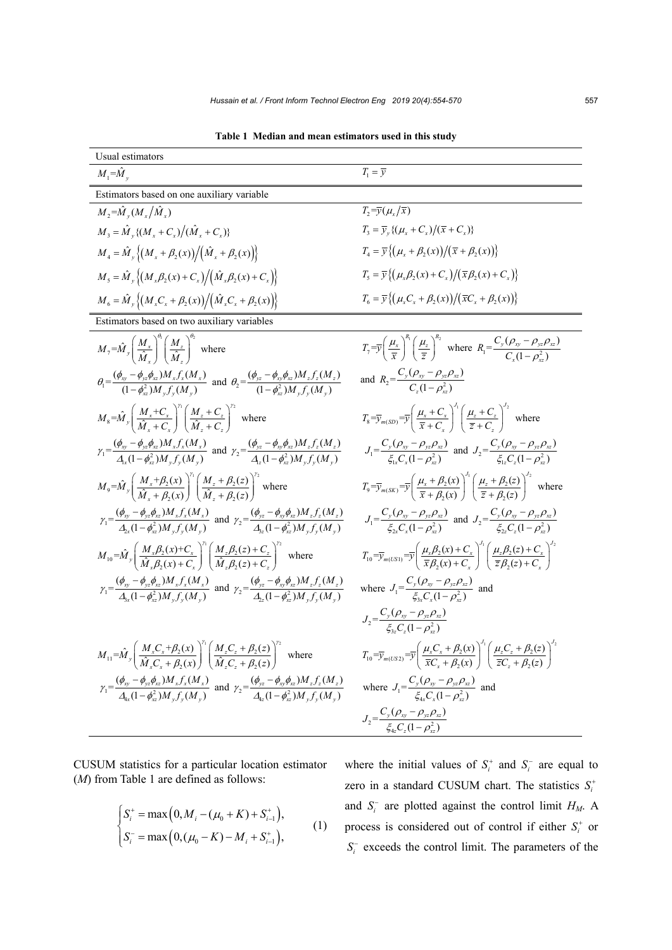| Table 1 Median and mean estimators used in this study |  |
|-------------------------------------------------------|--|
|                                                       |  |

| Usual estimators                                                                                                                                                                                          |                                                                                                                                                                                                                 |
|-----------------------------------------------------------------------------------------------------------------------------------------------------------------------------------------------------------|-----------------------------------------------------------------------------------------------------------------------------------------------------------------------------------------------------------------|
| $M_1 = \hat{M}_v$                                                                                                                                                                                         | $T_1 = \overline{y}$                                                                                                                                                                                            |
| Estimators based on one auxiliary variable                                                                                                                                                                |                                                                                                                                                                                                                 |
| $M_{\gamma} = \hat{M}_{\gamma}(M_{\gamma}/\hat{M}_{\gamma})$                                                                                                                                              | $T_{2}=\overline{y}(\mu_{x}/\overline{x})$                                                                                                                                                                      |
| $M_2 = \hat{M}_{\gamma} \{ (M_+ + C_{\gamma}) / (\hat{M}_{\gamma} + C_{\gamma}) \}$                                                                                                                       | $T_3 = \overline{y}_y \{ (\mu_x + C_x) / (\overline{x} + C_x) \}$                                                                                                                                               |
| $M_4 = \hat{M}_{v} \left\{ (M_x + \beta_2(x)) / (\hat{M}_x + \beta_2(x)) \right\}$                                                                                                                        | $T_4 = \overline{y} \{ (\mu_x + \beta_2(x)) / (\overline{x} + \beta_2(x)) \}$                                                                                                                                   |
| $M_{5} = \hat{M}_{y} \left\{ (M_{x} \beta_{2}(x) + C_{x}) / (\hat{M}_{x} \beta_{2}(x) + C_{x}) \right\}$                                                                                                  | $T_5 = \overline{y} \{ (\mu_x \beta_2(x) + C_x)/(\overline{x} \beta_2(x) + C_x) \}$                                                                                                                             |
| $M_6 = \hat{M}_{y} \left\{ (M_x C_x + \beta_2(x)) / (\hat{M}_x C_x + \beta_2(x)) \right\}$                                                                                                                | $T_6 = \overline{y} \{ (\mu_x C_x + \beta_2(x)) / (\overline{x} C_x + \beta_2(x)) \}$                                                                                                                           |
| Estimators based on two auxiliary variables                                                                                                                                                               |                                                                                                                                                                                                                 |
| $M_{7} = \hat{M}_{y} \left(\frac{M_{x}}{\hat{M}}\right)^{\theta_{1}} \left(\frac{M_{z}}{\hat{M}}\right)^{\theta_{2}}$ where                                                                               | $T_7 = \overline{y} \left( \frac{\mu_x}{\overline{x}} \right)^{R_1} \left( \frac{\mu_z}{\overline{x}} \right)^{R_2}$ where $R_1 = \frac{C_y (\rho_{xy} - \rho_{yz} \rho_{xz})}{C (1 - \rho^2)}$                 |
| $\theta_1 = \frac{(\phi_{xy} - \phi_{yz}\phi_{xz})M_x f_x(M_x)}{(1-\phi^2)M + f(M)}$ and $\theta_2 = \frac{(\phi_{yz} - \phi_{xy}\phi_{xz})M_z f_z(M_z)}{(1-\phi^2)M_z f_y(M_x)}$                         | and $R_2 = \frac{C_y(\rho_{xy} - \rho_{yz}\rho_{xz})}{C(1 - \rho^2)}$                                                                                                                                           |
| $M_s = \hat{M}_y \left( \frac{M_x + C_x}{\hat{M}_x + C_x} \right)^{1/2} \left( \frac{M_z + C_z}{\hat{M}_x + C_x} \right)^{2/2}$ where                                                                     | $T_8 = \overline{y}_{m(SD)} = \overline{y} \left( \frac{\mu_x + C_x}{\overline{x} + C} \right)^{J_1} \left( \frac{\mu_z + C_z}{\overline{z} + C} \right)^{J_2}$ where                                           |
| $\gamma_1 = \frac{(\phi_{xy} - \phi_{yz}\phi_{xz})M_x f_x(M_x)}{A_x(1-\phi_x^2)M_x f_x(M_x)}$ and $\gamma_2 = \frac{(\phi_{yz} - \phi_{xy}\phi_{xz})M_z f_z(M_z)}{A_x(1-\phi_x^2)M_x f_y(M_x)}$           | $J_1 = \frac{C_y(\rho_{xy} - \rho_{yz}\rho_{xz})}{\epsilon C (1 - \rho^2)}$ and $J_2 = \frac{C_y(\rho_{xy} - \rho_{yz}\rho_{xz})}{\epsilon C (1 - \rho^2)}$                                                     |
| $M_9 = \hat{M}_y \left( \frac{M_x + \beta_2(x)}{\hat{M} + R(x)} \right)^{\gamma_1} \left( \frac{M_z + \beta_2(z)}{\hat{M} + R(x)} \right)^{\gamma_2}$ where                                               | $T_9 = \overline{y}_{m(SK)} = \overline{y} \left( \frac{\mu_x + \beta_2(x)}{\overline{x} + \beta_3(x)} \right)^{1/2} \left( \frac{\mu_z + \beta_2(z)}{\overline{z} + \beta_3(z)} \right)^{2/2}$ where           |
| $\gamma_1 = \frac{(\phi_{xy} - \phi_{yz} \phi_{xz}) M_x f_x(M_x)}{A (1 - \phi^2) M f(M)}$ and $\gamma_2 = \frac{(\phi_{yz} - \phi_{xy} \phi_{xz}) M_z f_z(M_z)}{A (1 - \phi^2) M f(M)}$                   | $J_1 = \frac{C_y(\rho_{xy} - \rho_{yz}\rho_{xz})}{\epsilon C (1 - \rho^2)}$ and $J_2 = \frac{C_y(\rho_{xy} - \rho_{yz}\rho_{xz})}{\epsilon C (1 - \rho^2)}$                                                     |
| $M_{10} = \hat{M}_{y} \left( \frac{M_{x} \beta_{2}(x) + C_{x}}{\hat{M} \beta_{2}(x) + C_{y}} \right)^{1} \left( \frac{M_{z} \beta_{2}(z) + C_{z}}{\hat{M} \beta_{2}(z) + C_{z}} \right)^{1/2}$ where      | $T_{10} = \overline{y}_{m(US1)} = \overline{y} \left( \frac{\mu_x \beta_2(x) + C_x}{\overline{x} \beta_1(x) + C} \right)^{J_1} \left( \frac{\mu_z \beta_2(z) + C_x}{\overline{z} \beta_1(z) + C} \right)^{J_2}$ |
| $\gamma_1 = \frac{(\phi_{xy} - \phi_{yz} \phi_{xz}) M_x f_x(M_x)}{A (1 - \phi^2) M f(M)}$ and $\gamma_2 = \frac{(\phi_{yz} - \phi_{xy} \phi_{xz}) M_z f_z(M_z)}{A (1 - \phi^2) M f(M)}$                   | where $J_1 = \frac{C_y(\rho_{xy} - \rho_{yz}\rho_{xz})}{\xi_2 C (1 - \rho^2)}$ and                                                                                                                              |
|                                                                                                                                                                                                           | $J_2 = \frac{C_y(\rho_{xy} - \rho_{yz}\rho_{xz})}{\xi C (1 - \rho^2)}$                                                                                                                                          |
| $M_{11} = \hat{M}_y \left( \frac{M_x C_x + \beta_2(x)}{\hat{M}_c C_x + \beta_2(x)} \right)^{\gamma} \left( \frac{M_z C_z + \beta_2(z)}{\hat{M}_c C_z + \beta_2(z)} \right)^{\gamma}$ where                | $T_{10} = \overline{y}_{m(US2)} = \overline{y} \left( \frac{\mu_x C_x + \beta_2(x)}{\overline{x}C + \beta_2(x)} \right)^{1/2} \left( \frac{\mu_z C_z + \beta_2(z)}{\overline{z}C + \beta_2(z)} \right)^{2/2}$   |
| $\gamma_1 = \frac{(\phi_{xy} - \phi_{yz}\phi_{xz})M_x f_x(M_x)}{A \cdot (1 - \phi^2)M + f(M_x)}$ and $\gamma_2 = \frac{(\phi_{yz} - \phi_{xy}\phi_{xz})M_z f_z(M_z)}{A \cdot (1 - \phi_x^2)M_z f_y(M_x)}$ | where $J_1 = \frac{C_y(\rho_{xy} - \rho_{yz}\rho_{xz})}{\xi C(1-\rho^2)}$ and                                                                                                                                   |
|                                                                                                                                                                                                           | $J_2 = \frac{C_y(\rho_{xy} - \rho_{yz}\rho_{xz})}{\xi_4 C_x (1 - \rho_{yz}^2)}$                                                                                                                                 |

CUSUM statistics for a particular location estimator (*M*) from Table 1 are defined as follows:

$$
\begin{cases}\nS_i^+ = \max\left(0, M_i - (\mu_0 + K) + S_{i-1}^+\right), \\
S_i^- = \max\left(0, (\mu_0 - K) - M_i + S_{i-1}^+\right),\n\end{cases} \tag{1}
$$

where the initial values of  $S_i^+$  and  $S_i^-$  are equal to zero in a standard CUSUM chart. The statistics  $S_i^+$ and  $S_i^-$  are plotted against the control limit  $H_M$ . A process is considered out of control if either  $S_i^+$  or  $S_i$ <sup>-</sup> exceeds the control limit. The parameters of the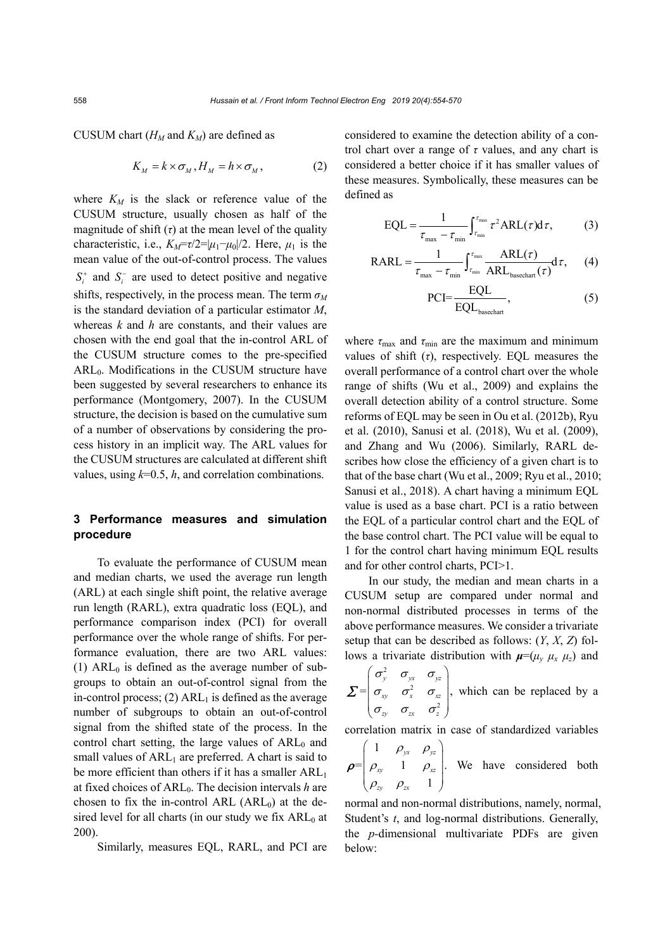CUSUM chart  $(H_M$  and  $K_M$ ) are defined as

$$
K_M = k \times \sigma_M, H_M = h \times \sigma_M, \qquad (2)
$$

where  $K_M$  is the slack or reference value of the CUSUM structure, usually chosen as half of the magnitude of shift  $(\tau)$  at the mean level of the quality characteristic, i.e.,  $K_M = \tau/2 = |\mu_1 - \mu_0|/2$ . Here,  $\mu_1$  is the mean value of the out-of-control process. The values  $S_i^+$  and  $S_i^-$  are used to detect positive and negative shifts, respectively, in the process mean. The term  $\sigma_M$ is the standard deviation of a particular estimator *M*, whereas *k* and *h* are constants, and their values are chosen with the end goal that the in-control ARL of the CUSUM structure comes to the pre-specified  $ARL<sub>0</sub>$ . Modifications in the CUSUM structure have been suggested by several researchers to enhance its performance (Montgomery, 2007). In the CUSUM structure, the decision is based on the cumulative sum of a number of observations by considering the process history in an implicit way. The ARL values for the CUSUM structures are calculated at different shift values, using  $k=0.5$ ,  $h$ , and correlation combinations.

# **3 Performance measures and simulation procedure**

To evaluate the performance of CUSUM mean and median charts, we used the average run length (ARL) at each single shift point, the relative average run length (RARL), extra quadratic loss (EQL), and performance comparison index (PCI) for overall performance over the whole range of shifts. For performance evaluation, there are two ARL values: (1)  $ARL<sub>0</sub>$  is defined as the average number of subgroups to obtain an out-of-control signal from the in-control process; (2)  $ARL<sub>1</sub>$  is defined as the average number of subgroups to obtain an out-of-control signal from the shifted state of the process. In the control chart setting, the large values of  $ARL<sub>0</sub>$  and small values of  $ARL<sub>1</sub>$  are preferred. A chart is said to be more efficient than others if it has a smaller  $ARL<sub>1</sub>$ at fixed choices of ARL0. The decision intervals *h* are chosen to fix the in-control ARL  $(ARL<sub>0</sub>)$  at the desired level for all charts (in our study we fix  $ARL<sub>0</sub>$  at 200).

Similarly, measures EQL, RARL, and PCI are

considered to examine the detection ability of a control chart over a range of *τ* values, and any chart is considered a better choice if it has smaller values of these measures. Symbolically, these measures can be defined as

$$
EQL = \frac{1}{\tau_{\text{max}} - \tau_{\text{min}}} \int_{\tau_{\text{min}}}^{\tau_{\text{max}}} \tau^2 ARL(\tau) d\tau, \tag{3}
$$

$$
RARL = \frac{1}{\tau_{\text{max}} - \tau_{\text{min}}} \int_{\tau_{\text{min}}}^{\tau_{\text{max}}} \frac{ARL(\tau)}{ARL_{\text{basechart}}(\tau)} d\tau, \qquad (4)
$$

$$
PCI = \frac{EQL}{EQL_{\text{basechart}}},\tag{5}
$$

where  $\tau_{\text{max}}$  and  $\tau_{\text{min}}$  are the maximum and minimum values of shift  $(\tau)$ , respectively. EQL measures the overall performance of a control chart over the whole range of shifts (Wu et al., 2009) and explains the overall detection ability of a control structure. Some reforms of EQL may be seen in Ou et al. (2012b), Ryu et al. (2010), Sanusi et al. (2018), Wu et al. (2009), and Zhang and Wu (2006). Similarly, RARL describes how close the efficiency of a given chart is to that of the base chart (Wu et al., 2009; Ryu et al., 2010; Sanusi et al., 2018). A chart having a minimum EQL value is used as a base chart. PCI is a ratio between the EQL of a particular control chart and the EQL of the base control chart. The PCI value will be equal to 1 for the control chart having minimum EQL results and for other control charts, PCI>1.

In our study, the median and mean charts in a CUSUM setup are compared under normal and non-normal distributed processes in terms of the above performance measures. We consider a trivariate setup that can be described as follows: (*Y*, *X*, *Z*) follows a trivariate distribution with  $\mu = (\mu_v \mu_x \mu_z)$  and

$$
\Sigma = \begin{pmatrix} \sigma_y^2 & \sigma_{yx} & \sigma_{yz} \\ \sigma_{xy} & \sigma_x^2 & \sigma_{xz} \\ \sigma_{zy} & \sigma_{zx} & \sigma_z^2 \end{pmatrix}
$$
, which can be replaced by a

correlation matrix in case of standardized variables

$$
\boldsymbol{\rho} = \begin{pmatrix} 1 & \rho_{yx} & \rho_{yz} \\ \rho_{xy} & 1 & \rho_{xz} \\ \rho_{zy} & \rho_{zx} & 1 \end{pmatrix}.
$$
 We have considered both

normal and non-normal distributions, namely, normal, Student's *t*, and log-normal distributions. Generally, the *p-*dimensional multivariate PDFs are given below: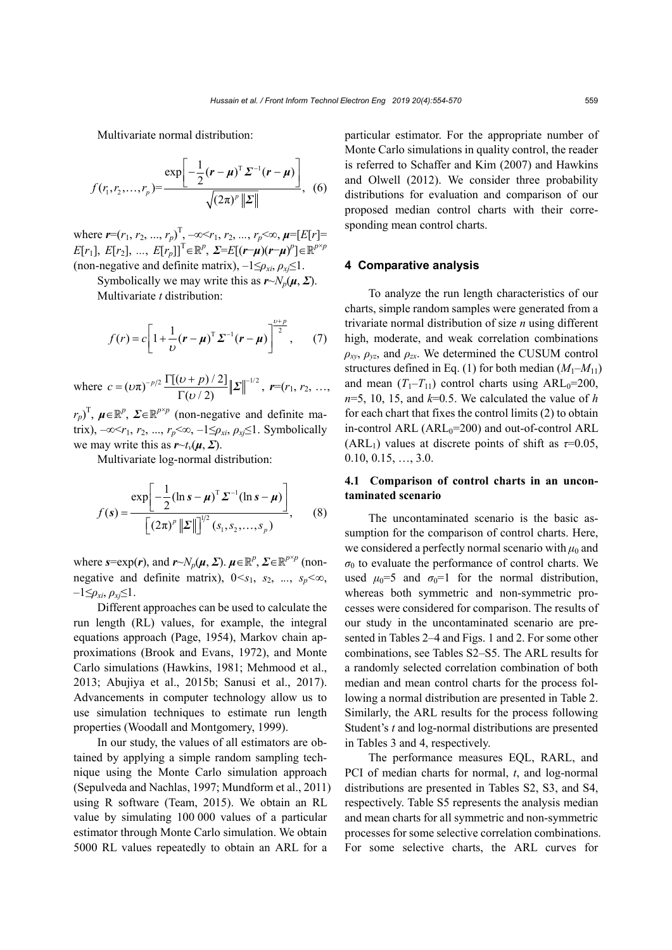Multivariate normal distribution:

$$
f(r_1,r_2,\ldots,r_p) = \frac{\exp\left[-\frac{1}{2}(\mathbf{r}-\boldsymbol{\mu})^{\mathrm{T}}\boldsymbol{\Sigma}^{-1}(\mathbf{r}-\boldsymbol{\mu})\right]}{\sqrt{(2\pi)^p\|\boldsymbol{\Sigma}\|}},\quad(6)
$$

where  $\mathbf{r} = (r_1, r_2, ..., r_p)^T$ ,  $-\infty < r_1, r_2, ..., r_p < \infty$ ,  $\mathbf{\mu} = [E[r] =$  $E[r_1], E[r_2], ..., E[r_p]]^T \in \mathbb{R}^p, \Sigma = E[(r-\mu)(r-\mu)^p] \in \mathbb{R}^{p \times p}$ (non-negative and definite matrix),  $-1 \leq \rho_{xi}, \rho_{xi} \leq 1$ .

Symbolically we may write this as  $r \sim N_p(\mu, \Sigma)$ . Multivariate *t* distribution:

$$
f(r) = c \left[ 1 + \frac{1}{\nu} (\mathbf{r} - \boldsymbol{\mu})^{\mathrm{T}} \boldsymbol{\Sigma}^{-1} (\mathbf{r} - \boldsymbol{\mu}) \right]^{\frac{\nu + p}{2}}, \qquad (7)
$$

where  $c = (\nu \pi)^{-p/2} \frac{\Gamma[(\nu + p)/2]}{\Gamma(\nu/2)} ||\Sigma||^{-1/2}$ ,  $\boldsymbol{\nu}$  $= (\nu \pi)^{-p/2} \frac{\Gamma[(\nu + p)/2]}{\Gamma(\nu/2)} ||\Sigma||^{-1/2}, r = (r_1, r_2, ...,$ 

 $(r_p)^T$ ,  $\mu \in \mathbb{R}^p$ ,  $\Sigma \in \mathbb{R}^{p \times p}$  (non-negative and definite matrix),  $-\infty < r_1, r_2, ..., r_p < \infty, -1 \leq \rho_{xi}, \rho_{xi} \leq 1$ . Symbolically we may write this as  $r \sim t_v(\mu, \Sigma)$ .

Multivariate log-normal distribution:

$$
f(\mathbf{s}) = \frac{\exp\left[-\frac{1}{2}(\ln \mathbf{s} - \boldsymbol{\mu})^{\mathrm{T}} \boldsymbol{\Sigma}^{-1}(\ln \mathbf{s} - \boldsymbol{\mu})\right]}{\left[\left(2\pi\right)^{p} \left\|\boldsymbol{\Sigma}\right\| \right]^{1/2} \left(s_{1}, s_{2}, \ldots, s_{p}\right)},\qquad(8)
$$

where  $s = \exp(r)$ , and  $r \sim N_p(\mu, \Sigma)$ .  $\mu \in \mathbb{R}^p$ ,  $\Sigma \in \mathbb{R}^{p \times p}$  (nonnegative and definite matrix),  $0 \leq s_1$ ,  $s_2$ , ...,  $s_p \leq \infty$ , –1≤*ρxi*, *ρxj*≤1.

Different approaches can be used to calculate the run length (RL) values, for example, the integral equations approach (Page, 1954), Markov chain approximations (Brook and Evans, 1972), and Monte Carlo simulations (Hawkins, 1981; Mehmood et al., 2013; Abujiya et al., 2015b; Sanusi et al., 2017). Advancements in computer technology allow us to use simulation techniques to estimate run length properties (Woodall and Montgomery, 1999).

In our study, the values of all estimators are obtained by applying a simple random sampling technique using the Monte Carlo simulation approach (Sepulveda and Nachlas, 1997; Mundform et al., 2011) using R software (Team, 2015). We obtain an RL value by simulating 100 000 values of a particular estimator through Monte Carlo simulation. We obtain 5000 RL values repeatedly to obtain an ARL for a

particular estimator. For the appropriate number of Monte Carlo simulations in quality control, the reader is referred to Schaffer and Kim (2007) and Hawkins and Olwell (2012). We consider three probability distributions for evaluation and comparison of our proposed median control charts with their corresponding mean control charts.

## **4 Comparative analysis**

To analyze the run length characteristics of our charts, simple random samples were generated from a trivariate normal distribution of size *n* using different high, moderate, and weak correlation combinations  $\rho_{xy}$ ,  $\rho_{yz}$ , and  $\rho_{zx}$ . We determined the CUSUM control structures defined in Eq. (1) for both median  $(M_1-M_1)$ and mean  $(T_1 - T_{11})$  control charts using  $ARL_0 = 200$ ,  $n=5$ , 10, 15, and  $k=0.5$ . We calculated the value of *h* for each chart that fixes the control limits (2) to obtain in-control  $ARL (ARL<sub>0</sub>=200)$  and out-of-control  $ARL$ (ARL<sub>1</sub>) values at discrete points of shift as  $\tau=0.05$ ,  $0.10, 0.15, \ldots, 3.0.$ 

## **4.1 Comparison of control charts in an uncontaminated scenario**

The uncontaminated scenario is the basic assumption for the comparison of control charts. Here, we considered a perfectly normal scenario with  $\mu_0$  and  $\sigma_0$  to evaluate the performance of control charts. We used  $\mu_0=5$  and  $\sigma_0=1$  for the normal distribution, whereas both symmetric and non-symmetric processes were considered for comparison. The results of our study in the uncontaminated scenario are presented in Tables 2–4 and Figs. 1 and 2. For some other combinations, see Tables S2–S5. The ARL results for a randomly selected correlation combination of both median and mean control charts for the process following a normal distribution are presented in Table 2. Similarly, the ARL results for the process following Student's *t* and log-normal distributions are presented in Tables 3 and 4, respectively.

The performance measures EQL, RARL, and PCI of median charts for normal, *t*, and log-normal distributions are presented in Tables S2, S3, and S4, respectively. Table S5 represents the analysis median and mean charts for all symmetric and non-symmetric processes for some selective correlation combinations. For some selective charts, the ARL curves for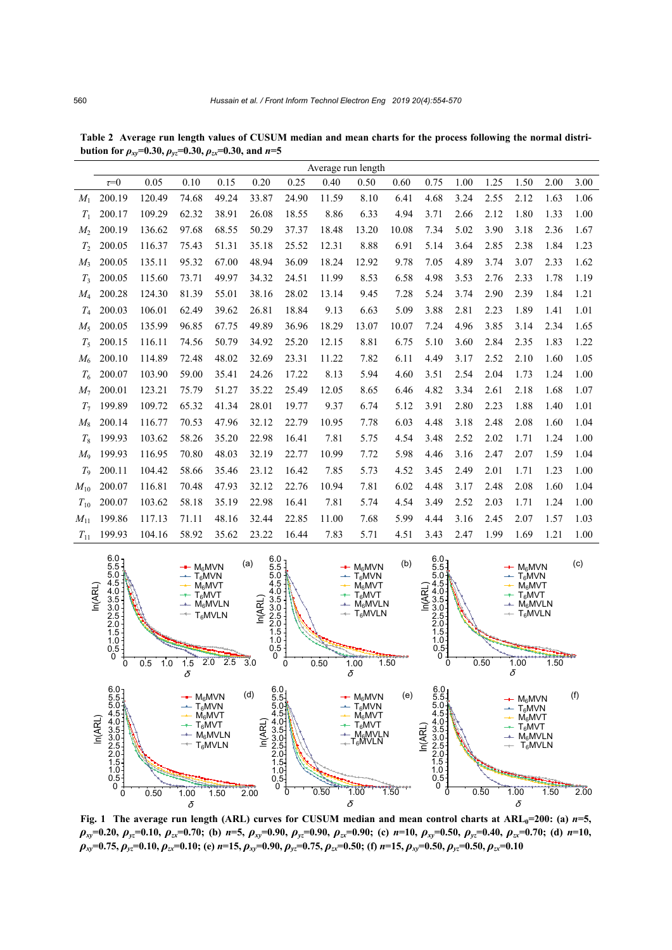|                | Average run length |        |       |       |       |       |       |       |       |      |      |      |      |      |      |
|----------------|--------------------|--------|-------|-------|-------|-------|-------|-------|-------|------|------|------|------|------|------|
|                | $\tau=0$           | 0.05   | 0.10  | 0.15  | 0.20  | 0.25  | 0.40  | 0.50  | 0.60  | 0.75 | 1.00 | 1.25 | 1.50 | 2.00 | 3.00 |
| $M_1$          | 200.19             | 120.49 | 74.68 | 49.24 | 33.87 | 24.90 | 11.59 | 8.10  | 6.41  | 4.68 | 3.24 | 2.55 | 2.12 | 1.63 | 1.06 |
| $T_1$          | 200.17             | 109.29 | 62.32 | 38.91 | 26.08 | 18.55 | 8.86  | 6.33  | 4.94  | 3.71 | 2.66 | 2.12 | 1.80 | 1.33 | 1.00 |
| $M_{2}$        | 200.19             | 136.62 | 97.68 | 68.55 | 50.29 | 37.37 | 18.48 | 13.20 | 10.08 | 7.34 | 5.02 | 3.90 | 3.18 | 2.36 | 1.67 |
| T <sub>2</sub> | 200.05             | 116.37 | 75.43 | 51.31 | 35.18 | 25.52 | 12.31 | 8.88  | 6.91  | 5.14 | 3.64 | 2.85 | 2.38 | 1.84 | 1.23 |
| $M_{3}$        | 200.05             | 135.11 | 95.32 | 67.00 | 48.94 | 36.09 | 18.24 | 12.92 | 9.78  | 7.05 | 4.89 | 3.74 | 3.07 | 2.33 | 1.62 |
| $T_3$          | 200.05             | 115.60 | 73.71 | 49.97 | 34.32 | 24.51 | 11.99 | 8.53  | 6.58  | 4.98 | 3.53 | 2.76 | 2.33 | 1.78 | 1.19 |
| $M_4$          | 200.28             | 124.30 | 81.39 | 55.01 | 38.16 | 28.02 | 13.14 | 9.45  | 7.28  | 5.24 | 3.74 | 2.90 | 2.39 | 1.84 | 1.21 |
| $T_{4}$        | 200.03             | 106.01 | 62.49 | 39.62 | 26.81 | 18.84 | 9.13  | 6.63  | 5.09  | 3.88 | 2.81 | 2.23 | 1.89 | 1.41 | 1.01 |
| $M_{5}$        | 200.05             | 135.99 | 96.85 | 67.75 | 49.89 | 36.96 | 18.29 | 13.07 | 10.07 | 7.24 | 4.96 | 3.85 | 3.14 | 2.34 | 1.65 |
| $T_5$          | 200.15             | 116.11 | 74.56 | 50.79 | 34.92 | 25.20 | 12.15 | 8.81  | 6.75  | 5.10 | 3.60 | 2.84 | 2.35 | 1.83 | 1.22 |
| $M_6$          | 200.10             | 114.89 | 72.48 | 48.02 | 32.69 | 23.31 | 11.22 | 7.82  | 6.11  | 4.49 | 3.17 | 2.52 | 2.10 | 1.60 | 1.05 |
| $T_6$          | 200.07             | 103.90 | 59.00 | 35.41 | 24.26 | 17.22 | 8.13  | 5.94  | 4.60  | 3.51 | 2.54 | 2.04 | 1.73 | 1.24 | 1.00 |
| M <sub>7</sub> | 200.01             | 123.21 | 75.79 | 51.27 | 35.22 | 25.49 | 12.05 | 8.65  | 6.46  | 4.82 | 3.34 | 2.61 | 2.18 | 1.68 | 1.07 |
| T <sub>7</sub> | 199.89             | 109.72 | 65.32 | 41.34 | 28.01 | 19.77 | 9.37  | 6.74  | 5.12  | 3.91 | 2.80 | 2.23 | 1.88 | 1.40 | 1.01 |
| $M_{\rm s}$    | 200.14             | 116.77 | 70.53 | 47.96 | 32.12 | 22.79 | 10.95 | 7.78  | 6.03  | 4.48 | 3.18 | 2.48 | 2.08 | 1.60 | 1.04 |
| $T_8$          | 199.93             | 103.62 | 58.26 | 35.20 | 22.98 | 16.41 | 7.81  | 5.75  | 4.54  | 3.48 | 2.52 | 2.02 | 1.71 | 1.24 | 1.00 |
| $M_{\rm Q}$    | 199.93             | 116.95 | 70.80 | 48.03 | 32.19 | 22.77 | 10.99 | 7.72  | 5.98  | 4.46 | 3.16 | 2.47 | 2.07 | 1.59 | 1.04 |
| $T_{\rm Q}$    | 200.11             | 104.42 | 58.66 | 35.46 | 23.12 | 16.42 | 7.85  | 5.73  | 4.52  | 3.45 | 2.49 | 2.01 | 1.71 | 1.23 | 1.00 |
| $M_{10}$       | 200.07             | 116.81 | 70.48 | 47.93 | 32.12 | 22.76 | 10.94 | 7.81  | 6.02  | 4.48 | 3.17 | 2.48 | 2.08 | 1.60 | 1.04 |
| $T_{10}$       | 200.07             | 103.62 | 58.18 | 35.19 | 22.98 | 16.41 | 7.81  | 5.74  | 4.54  | 3.49 | 2.52 | 2.03 | 1.71 | 1.24 | 1.00 |
| $M_{11}$       | 199.86             | 117.13 | 71.11 | 48.16 | 32.44 | 22.85 | 11.00 | 7.68  | 5.99  | 4.44 | 3.16 | 2.45 | 2.07 | 1.57 | 1.03 |
| $T_{11}$       | 199.93             | 104.16 | 58.92 | 35.62 | 23.22 | 16.44 | 7.83  | 5.71  | 4.51  | 3.43 | 2.47 | 1.99 | 1.69 | 1.21 | 1.00 |

**Table 2 Average run length values of CUSUM median and mean charts for the process following the normal distribution for**  $\rho_{xy} = 0.30$ ,  $\rho_{yz} = 0.30$ ,  $\rho_{zx} = 0.30$ , and *n*=5



**Fig. 1** The average run length (ARL) curves for CUSUM median and mean control charts at  $ARL_0=200$ : (a)  $n=5$ ,  $\rho_{xy}=0.20, \ \rho_{yz}=0.10, \ \rho_{zx}=0.70;$  (b)  $n=5, \ \rho_{xy}=0.90, \ \rho_{yz}=0.90, \ \rho_{zx}=0.90;$  (c)  $n=10, \ \rho_{xy}=0.50, \ \rho_{yz}=0.40, \ \rho_{zx}=0.70;$  (d)  $n=10,$  $\rho_{xy}$ =0.75,  $\rho_{yz}$ =0.10,  $\rho_{zx}$ =0.10; (e) n=15,  $\rho_{xy}$ =0.90,  $\rho_{yz}$ =0.75,  $\rho_{zx}$ =0.50; (f) n=15,  $\rho_{xy}$ =0.50,  $\rho_{yz}$ =0.50,  $\rho_{zx}$ =0.10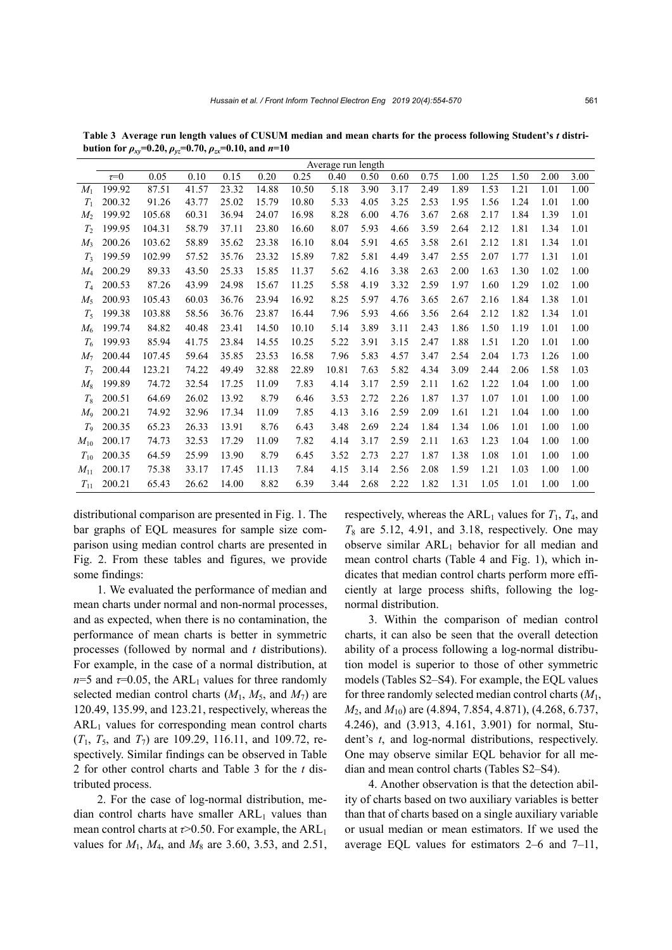|                | Average run length |        |       |       |       |       |       |      |      |      |      |      |      |      |      |
|----------------|--------------------|--------|-------|-------|-------|-------|-------|------|------|------|------|------|------|------|------|
|                | $\tau=0$           | 0.05   | 0.10  | 0.15  | 0.20  | 0.25  | 0.40  | 0.50 | 0.60 | 0.75 | 1.00 | 1.25 | 1.50 | 2.00 | 3.00 |
| $M_1$          | 199.92             | 87.51  | 41.57 | 23.32 | 14.88 | 10.50 | 5.18  | 3.90 | 3.17 | 2.49 | 1.89 | 1.53 | 1.21 | 1.01 | 1.00 |
| $T_1$          | 200.32             | 91.26  | 43.77 | 25.02 | 15.79 | 10.80 | 5.33  | 4.05 | 3.25 | 2.53 | 1.95 | 1.56 | 1.24 | 1.01 | 1.00 |
| $M_2$          | 199.92             | 105.68 | 60.31 | 36.94 | 24.07 | 16.98 | 8.28  | 6.00 | 4.76 | 3.67 | 2.68 | 2.17 | 1.84 | 1.39 | 1.01 |
| T <sub>2</sub> | 199.95             | 104.31 | 58.79 | 37.11 | 23.80 | 16.60 | 8.07  | 5.93 | 4.66 | 3.59 | 2.64 | 2.12 | 1.81 | 1.34 | 1.01 |
| $M_3$          | 200.26             | 103.62 | 58.89 | 35.62 | 23.38 | 16.10 | 8.04  | 5.91 | 4.65 | 3.58 | 2.61 | 2.12 | 1.81 | 1.34 | 1.01 |
| $T_3$          | 199.59             | 102.99 | 57.52 | 35.76 | 23.32 | 15.89 | 7.82  | 5.81 | 4.49 | 3.47 | 2.55 | 2.07 | 1.77 | 1.31 | 1.01 |
| $M_4$          | 200.29             | 89.33  | 43.50 | 25.33 | 15.85 | 11.37 | 5.62  | 4.16 | 3.38 | 2.63 | 2.00 | 1.63 | 1.30 | 1.02 | 1.00 |
| $T_4$          | 200.53             | 87.26  | 43.99 | 24.98 | 15.67 | 11.25 | 5.58  | 4.19 | 3.32 | 2.59 | 1.97 | 1.60 | 1.29 | 1.02 | 1.00 |
| $M_5$          | 200.93             | 105.43 | 60.03 | 36.76 | 23.94 | 16.92 | 8.25  | 5.97 | 4.76 | 3.65 | 2.67 | 2.16 | 1.84 | 1.38 | 1.01 |
| $T_5$          | 199.38             | 103.88 | 58.56 | 36.76 | 23.87 | 16.44 | 7.96  | 5.93 | 4.66 | 3.56 | 2.64 | 2.12 | 1.82 | 1.34 | 1.01 |
| $M_6$          | 199.74             | 84.82  | 40.48 | 23.41 | 14.50 | 10.10 | 5.14  | 3.89 | 3.11 | 2.43 | 1.86 | 1.50 | 1.19 | 1.01 | 1.00 |
| T <sub>6</sub> | 199.93             | 85.94  | 41.75 | 23.84 | 14.55 | 10.25 | 5.22  | 3.91 | 3.15 | 2.47 | 1.88 | 1.51 | 1.20 | 1.01 | 1.00 |
| $M_7$          | 200.44             | 107.45 | 59.64 | 35.85 | 23.53 | 16.58 | 7.96  | 5.83 | 4.57 | 3.47 | 2.54 | 2.04 | 1.73 | 1.26 | 1.00 |
| $T_7$          | 200.44             | 123.21 | 74.22 | 49.49 | 32.88 | 22.89 | 10.81 | 7.63 | 5.82 | 4.34 | 3.09 | 2.44 | 2.06 | 1.58 | 1.03 |
| $M_8$          | 199.89             | 74.72  | 32.54 | 17.25 | 11.09 | 7.83  | 4.14  | 3.17 | 2.59 | 2.11 | 1.62 | 1.22 | 1.04 | 1.00 | 1.00 |
| $T_8$          | 200.51             | 64.69  | 26.02 | 13.92 | 8.79  | 6.46  | 3.53  | 2.72 | 2.26 | 1.87 | 1.37 | 1.07 | 1.01 | 1.00 | 1.00 |
| $M_{\rm Q}$    | 200.21             | 74.92  | 32.96 | 17.34 | 11.09 | 7.85  | 4.13  | 3.16 | 2.59 | 2.09 | 1.61 | 1.21 | 1.04 | 1.00 | 1.00 |
| $T_{9}$        | 200.35             | 65.23  | 26.33 | 13.91 | 8.76  | 6.43  | 3.48  | 2.69 | 2.24 | 1.84 | 1.34 | 1.06 | 1.01 | 1.00 | 1.00 |
| $M_{10}$       | 200.17             | 74.73  | 32.53 | 17.29 | 11.09 | 7.82  | 4.14  | 3.17 | 2.59 | 2.11 | 1.63 | 1.23 | 1.04 | 1.00 | 1.00 |
| $T_{10}$       | 200.35             | 64.59  | 25.99 | 13.90 | 8.79  | 6.45  | 3.52  | 2.73 | 2.27 | 1.87 | 1.38 | 1.08 | 1.01 | 1.00 | 1.00 |
| $M_{11}$       | 200.17             | 75.38  | 33.17 | 17.45 | 11.13 | 7.84  | 4.15  | 3.14 | 2.56 | 2.08 | 1.59 | 1.21 | 1.03 | 1.00 | 1.00 |
| $T_{11}$       | 200.21             | 65.43  | 26.62 | 14.00 | 8.82  | 6.39  | 3.44  | 2.68 | 2.22 | 1.82 | 1.31 | 1.05 | 1.01 | 1.00 | 1.00 |

**Table 3 Average run length values of CUSUM median and mean charts for the process following Student's** *t* **distribution for**  $\rho_{xy} = 0.20$ ,  $\rho_{yz} = 0.70$ ,  $\rho_{zx} = 0.10$ , and  $n = 10$ 

distributional comparison are presented in Fig. 1. The bar graphs of EQL measures for sample size comparison using median control charts are presented in Fig. 2. From these tables and figures, we provide some findings:

1. We evaluated the performance of median and mean charts under normal and non-normal processes, and as expected, when there is no contamination, the performance of mean charts is better in symmetric processes (followed by normal and *t* distributions). For example, in the case of a normal distribution, at  $n=5$  and  $\tau=0.05$ , the ARL<sub>1</sub> values for three randomly selected median control charts  $(M_1, M_5, \text{ and } M_7)$  are 120.49, 135.99, and 123.21, respectively, whereas the  $ARL<sub>1</sub>$  values for corresponding mean control charts  $(T_1, T_5, \text{ and } T_7)$  are 109.29, 116.11, and 109.72, respectively. Similar findings can be observed in Table 2 for other control charts and Table 3 for the *t* distributed process.

2. For the case of log-normal distribution, median control charts have smaller  $ARL<sub>1</sub>$  values than mean control charts at  $\tau$ >0.50. For example, the ARL<sub>1</sub> values for *M*1, *M*4, and *M*8 are 3.60, 3.53, and 2.51,

respectively, whereas the  $ARL_1$  values for  $T_1$ ,  $T_4$ , and  $T_8$  are 5.12, 4.91, and 3.18, respectively. One may observe similar  $ARL<sub>1</sub>$  behavior for all median and mean control charts (Table 4 and Fig. 1), which indicates that median control charts perform more efficiently at large process shifts, following the lognormal distribution.

3. Within the comparison of median control charts, it can also be seen that the overall detection ability of a process following a log-normal distribution model is superior to those of other symmetric models (Tables S2–S4). For example, the EQL values for three randomly selected median control charts (*M*1, *M*<sub>2</sub>, and *M*<sub>10</sub>) are (4.894, 7.854, 4.871), (4.268, 6.737, 4.246), and (3.913, 4.161, 3.901) for normal, Student's *t*, and log-normal distributions, respectively. One may observe similar EQL behavior for all median and mean control charts (Tables S2–S4).

4. Another observation is that the detection ability of charts based on two auxiliary variables is better than that of charts based on a single auxiliary variable or usual median or mean estimators. If we used the average EQL values for estimators 2–6 and 7–11,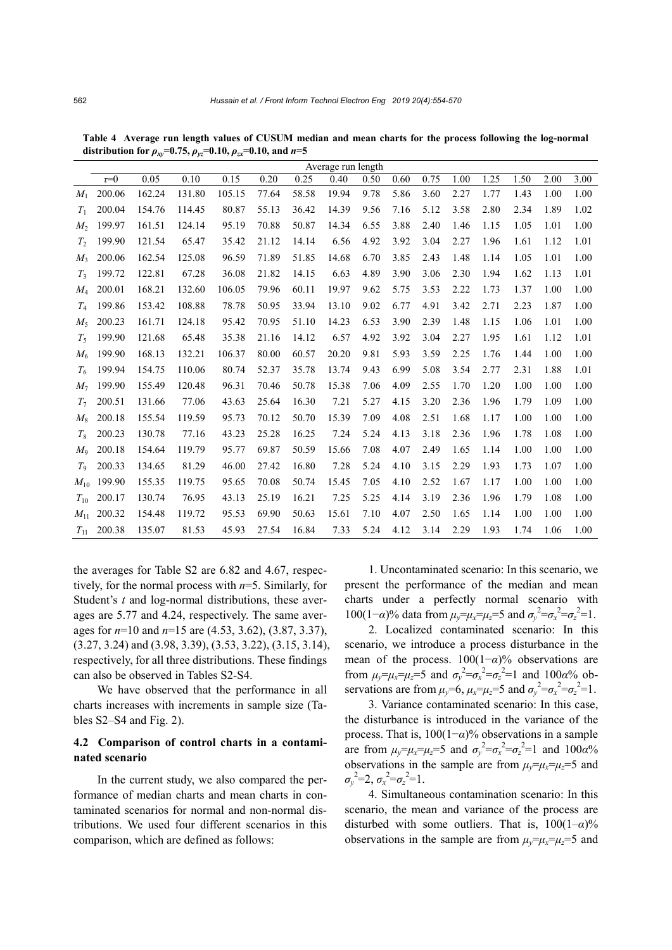|                | Average run length |        |        |        |       |       |       |      |      |      |      |      |      |      |      |
|----------------|--------------------|--------|--------|--------|-------|-------|-------|------|------|------|------|------|------|------|------|
|                | $\tau=0$           | 0.05   | 0.10   | 0.15   | 0.20  | 0.25  | 0.40  | 0.50 | 0.60 | 0.75 | 1.00 | 1.25 | 1.50 | 2.00 | 3.00 |
| $M_1$          | 200.06             | 162.24 | 131.80 | 105.15 | 77.64 | 58.58 | 19.94 | 9.78 | 5.86 | 3.60 | 2.27 | 1.77 | 1.43 | 1.00 | 1.00 |
| $T_1$          | 200.04             | 154.76 | 114.45 | 80.87  | 55.13 | 36.42 | 14.39 | 9.56 | 7.16 | 5.12 | 3.58 | 2.80 | 2.34 | 1.89 | 1.02 |
| $M_{2}$        | 199.97             | 161.51 | 124.14 | 95.19  | 70.88 | 50.87 | 14.34 | 6.55 | 3.88 | 2.40 | 1.46 | 1.15 | 1.05 | 1.01 | 1.00 |
| $T_2$          | 199.90             | 121.54 | 65.47  | 35.42  | 21.12 | 14.14 | 6.56  | 4.92 | 3.92 | 3.04 | 2.27 | 1.96 | 1.61 | 1.12 | 1.01 |
| $M_3$          | 200.06             | 162.54 | 125.08 | 96.59  | 71.89 | 51.85 | 14.68 | 6.70 | 3.85 | 2.43 | 1.48 | 1.14 | 1.05 | 1.01 | 1.00 |
| $T_3$          | 199.72             | 122.81 | 67.28  | 36.08  | 21.82 | 14.15 | 6.63  | 4.89 | 3.90 | 3.06 | 2.30 | 1.94 | 1.62 | 1.13 | 1.01 |
| $M_4$          | 200.01             | 168.21 | 132.60 | 106.05 | 79.96 | 60.11 | 19.97 | 9.62 | 5.75 | 3.53 | 2.22 | 1.73 | 1.37 | 1.00 | 1.00 |
| $T_{4}$        | 199.86             | 153.42 | 108.88 | 78.78  | 50.95 | 33.94 | 13.10 | 9.02 | 6.77 | 4.91 | 3.42 | 2.71 | 2.23 | 1.87 | 1.00 |
| $M_{5}$        | 200.23             | 161.71 | 124.18 | 95.42  | 70.95 | 51.10 | 14.23 | 6.53 | 3.90 | 2.39 | 1.48 | 1.15 | 1.06 | 1.01 | 1.00 |
| $T_5$          | 199.90             | 121.68 | 65.48  | 35.38  | 21.16 | 14.12 | 6.57  | 4.92 | 3.92 | 3.04 | 2.27 | 1.95 | 1.61 | 1.12 | 1.01 |
| M <sub>6</sub> | 199.90             | 168.13 | 132.21 | 106.37 | 80.00 | 60.57 | 20.20 | 9.81 | 5.93 | 3.59 | 2.25 | 1.76 | 1.44 | 1.00 | 1.00 |
| $T_6$          | 199.94             | 154.75 | 110.06 | 80.74  | 52.37 | 35.78 | 13.74 | 9.43 | 6.99 | 5.08 | 3.54 | 2.77 | 2.31 | 1.88 | 1.01 |
| $M_7$          | 199.90             | 155.49 | 120.48 | 96.31  | 70.46 | 50.78 | 15.38 | 7.06 | 4.09 | 2.55 | 1.70 | 1.20 | 1.00 | 1.00 | 1.00 |
| $T_7$          | 200.51             | 131.66 | 77.06  | 43.63  | 25.64 | 16.30 | 7.21  | 5.27 | 4.15 | 3.20 | 2.36 | 1.96 | 1.79 | 1.09 | 1.00 |
| $M_{8}$        | 200.18             | 155.54 | 119.59 | 95.73  | 70.12 | 50.70 | 15.39 | 7.09 | 4.08 | 2.51 | 1.68 | 1.17 | 1.00 | 1.00 | 1.00 |
| $T_8$          | 200.23             | 130.78 | 77.16  | 43.23  | 25.28 | 16.25 | 7.24  | 5.24 | 4.13 | 3.18 | 2.36 | 1.96 | 1.78 | 1.08 | 1.00 |
| $M_{9}$        | 200.18             | 154.64 | 119.79 | 95.77  | 69.87 | 50.59 | 15.66 | 7.08 | 4.07 | 2.49 | 1.65 | 1.14 | 1.00 | 1.00 | 1.00 |
| $T_{9}$        | 200.33             | 134.65 | 81.29  | 46.00  | 27.42 | 16.80 | 7.28  | 5.24 | 4.10 | 3.15 | 2.29 | 1.93 | 1.73 | 1.07 | 1.00 |
| $M_{10}$       | 199.90             | 155.35 | 119.75 | 95.65  | 70.08 | 50.74 | 15.45 | 7.05 | 4.10 | 2.52 | 1.67 | 1.17 | 1.00 | 1.00 | 1.00 |
| $T_{10}$       | 200.17             | 130.74 | 76.95  | 43.13  | 25.19 | 16.21 | 7.25  | 5.25 | 4.14 | 3.19 | 2.36 | 1.96 | 1.79 | 1.08 | 1.00 |
| $M_{11}$       | 200.32             | 154.48 | 119.72 | 95.53  | 69.90 | 50.63 | 15.61 | 7.10 | 4.07 | 2.50 | 1.65 | 1.14 | 1.00 | 1.00 | 1.00 |
| $T_{11}$       | 200.38             | 135.07 | 81.53  | 45.93  | 27.54 | 16.84 | 7.33  | 5.24 | 4.12 | 3.14 | 2.29 | 1.93 | 1.74 | 1.06 | 1.00 |

**Table 4 Average run length values of CUSUM median and mean charts for the process following the log-normal distribution for**  $\rho_{xy} = 0.75$ ,  $\rho_{yz} = 0.10$ ,  $\rho_{zx} = 0.10$ , and *n*=5

the averages for Table S2 are 6.82 and 4.67, respectively, for the normal process with *n*=5. Similarly, for Student's *t* and log-normal distributions, these averages are 5.77 and 4.24, respectively. The same averages for *n*=10 and *n*=15 are (4.53, 3.62), (3.87, 3.37), (3.27, 3.24) and (3.98, 3.39), (3.53, 3.22), (3.15, 3.14), respectively, for all three distributions. These findings can also be observed in Tables S2-S4.

We have observed that the performance in all charts increases with increments in sample size (Tables S2–S4 and Fig. 2).

## **4.2 Comparison of control charts in a contaminated scenario**

In the current study, we also compared the performance of median charts and mean charts in contaminated scenarios for normal and non-normal distributions. We used four different scenarios in this comparison, which are defined as follows:

1. Uncontaminated scenario: In this scenario, we present the performance of the median and mean charts under a perfectly normal scenario with 100(1−*α*)% data from  $\mu_y = \mu_x = \mu_z = 5$  and  $\sigma_y^2 = \sigma_x^2 = \sigma_z^2 = 1$ .

2. Localized contaminated scenario: In this scenario, we introduce a process disturbance in the mean of the process. 100(1−*α*)% observations are from  $\mu_y = \mu_x = \mu_z = 5$  and  $\sigma_y = \sigma_x = \sigma_z = 1$  and  $100\alpha\%$  observations are from  $\mu_y=6$ ,  $\mu_x=\mu_z=5$  and  $\sigma_y^2=\sigma_x^2=\sigma_z^2=1$ .

3. Variance contaminated scenario: In this case, the disturbance is introduced in the variance of the process. That is, 100(1−*α*)% observations in a sample are from  $\mu_y = \mu_x = \mu_z = 5$  and  $\sigma_y = \sigma_x = \sigma_z = 1$  and  $100\alpha\%$ observations in the sample are from  $\mu_v = \mu_x = \mu_z = 5$  and  $\sigma_y^2 = 2$ ,  $\sigma_x^2 = \sigma_z^2 = 1$ .

4. Simultaneous contamination scenario: In this scenario, the mean and variance of the process are disturbed with some outliers. That is,  $100(1-\alpha)\%$ observations in the sample are from  $\mu_v = \mu_x = \mu_z = 5$  and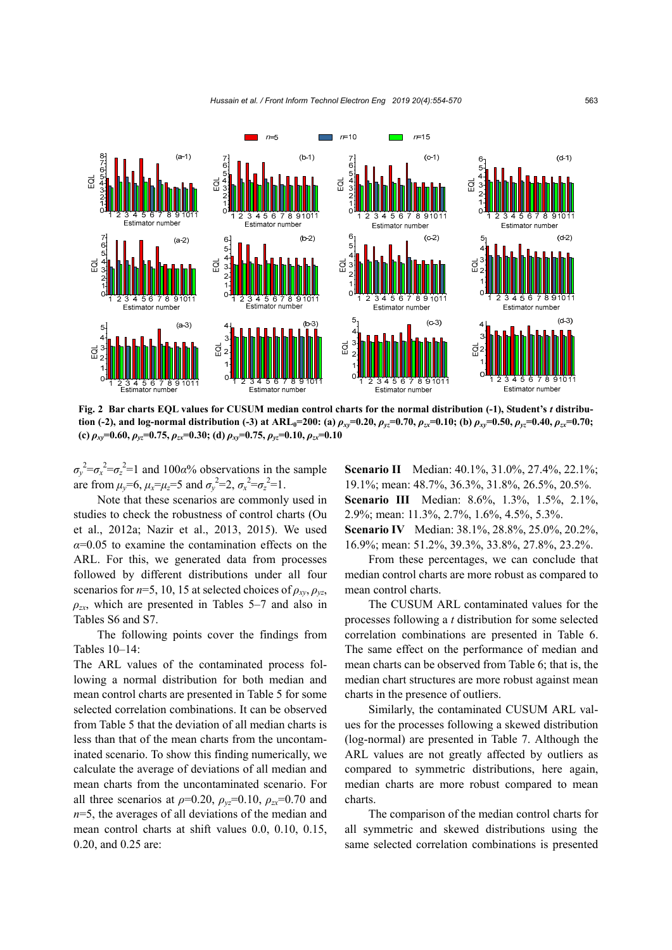

**Fig. 2 Bar charts EQL values for CUSUM median control charts for the normal distribution (-1), Student's** *t* **distribu**tion (-2), and log-normal distribution (-3) at ARL<sub>0</sub>=200: (a)  $\rho_{xy}$ =0.20,  $\rho_{yz}$ =0.70,  $\rho_{zx}$ =0.10; (b)  $\rho_{xy}$ =0.50,  $\rho_{yz}$ =0.40,  $\rho_{zx}$ =0.70; **(c)** *ρxy***=0.60,** *ρyz***=0.75,** *ρzx***=0.30; (d)** *ρxy***=0.75,** *ρyz***=0.10,** *ρzx***=0.10**

 $\sigma_y^2 = \sigma_x^2 = \sigma_z^2 = 1$  and 100*α*% observations in the sample are from  $\mu_y=6$ ,  $\mu_x=\mu_z=5$  and  $\sigma_y^2=2$ ,  $\sigma_x^2=\sigma_z^2=1$ .

Note that these scenarios are commonly used in studies to check the robustness of control charts (Ou et al., 2012a; Nazir et al., 2013, 2015). We used  $\alpha$ =0.05 to examine the contamination effects on the ARL. For this, we generated data from processes followed by different distributions under all four scenarios for  $n=5$ , 10, 15 at selected choices of  $\rho_{xy}, \rho_{yz}$ ,  $\rho_{zx}$ , which are presented in Tables 5–7 and also in Tables S6 and S7.

The following points cover the findings from Tables 10–14:

The ARL values of the contaminated process following a normal distribution for both median and mean control charts are presented in Table 5 for some selected correlation combinations. It can be observed from Table 5 that the deviation of all median charts is less than that of the mean charts from the uncontaminated scenario. To show this finding numerically, we calculate the average of deviations of all median and mean charts from the uncontaminated scenario. For all three scenarios at  $\rho=0.20$ ,  $\rho_{vz}=0.10$ ,  $\rho_{zx}=0.70$  and *n*=5, the averages of all deviations of the median and mean control charts at shift values 0.0, 0.10, 0.15, 0.20, and 0.25 are:

**Scenario II** Median: 40.1%, 31.0%, 27.4%, 22.1%; 19.1%; mean: 48.7%, 36.3%, 31.8%, 26.5%, 20.5%. **Scenario III** Median: 8.6%, 1.3%, 1.5%, 2.1%, 2.9%; mean: 11.3%, 2.7%, 1.6%, 4.5%, 5.3%.

**Scenario IV** Median: 38.1%, 28.8%, 25.0%, 20.2%, 16.9%; mean: 51.2%, 39.3%, 33.8%, 27.8%, 23.2%.

From these percentages, we can conclude that median control charts are more robust as compared to mean control charts.

The CUSUM ARL contaminated values for the processes following a *t* distribution for some selected correlation combinations are presented in Table 6. The same effect on the performance of median and mean charts can be observed from Table 6; that is, the median chart structures are more robust against mean charts in the presence of outliers.

Similarly, the contaminated CUSUM ARL values for the processes following a skewed distribution (log-normal) are presented in Table 7. Although the ARL values are not greatly affected by outliers as compared to symmetric distributions, here again, median charts are more robust compared to mean charts.

The comparison of the median control charts for all symmetric and skewed distributions using the same selected correlation combinations is presented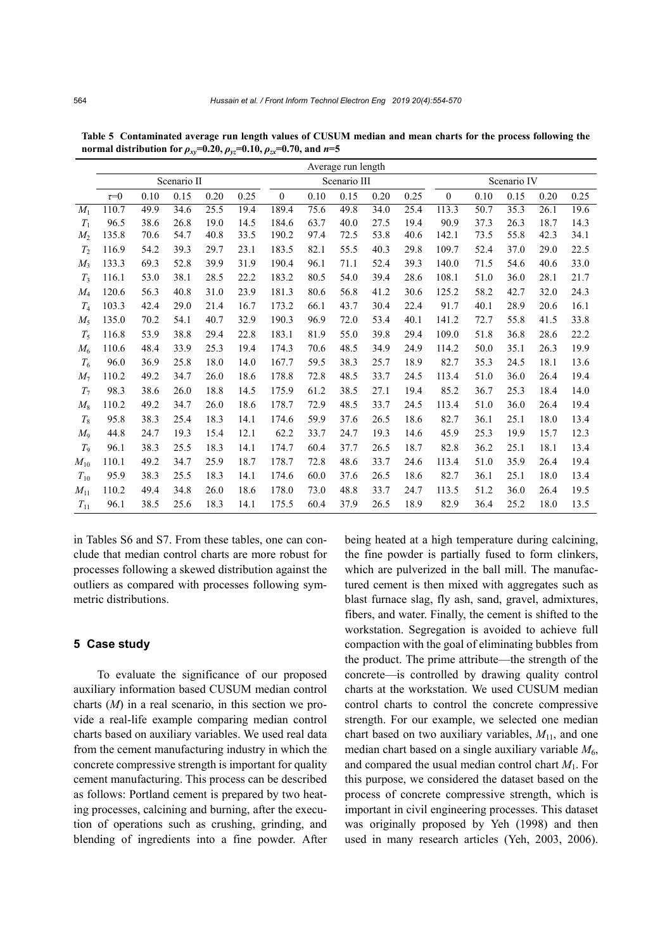|                | Average run length |      |             |      |      |              |      |              |      |      |              |      |             |      |      |
|----------------|--------------------|------|-------------|------|------|--------------|------|--------------|------|------|--------------|------|-------------|------|------|
|                |                    |      | Scenario II |      |      |              |      | Scenario III |      |      |              |      | Scenario IV |      |      |
|                | $\tau=0$           | 0.10 | 0.15        | 0.20 | 0.25 | $\mathbf{0}$ | 0.10 | 0.15         | 0.20 | 0.25 | $\mathbf{0}$ | 0.10 | 0.15        | 0.20 | 0.25 |
| $M_1$          | 110.7              | 49.9 | 34.6        | 25.5 | 19.4 | 189.4        | 75.6 | 49.8         | 34.0 | 25.4 | 113.3        | 50.7 | 35.3        | 26.1 | 19.6 |
| $T_1$          | 96.5               | 38.6 | 26.8        | 19.0 | 14.5 | 184.6        | 63.7 | 40.0         | 27.5 | 19.4 | 90.9         | 37.3 | 26.3        | 18.7 | 14.3 |
| $M_2$          | 135.8              | 70.6 | 54.7        | 40.8 | 33.5 | 190.2        | 97.4 | 72.5         | 53.8 | 40.6 | 142.1        | 73.5 | 55.8        | 42.3 | 34.1 |
| $T_2$          | 116.9              | 54.2 | 39.3        | 29.7 | 23.1 | 183.5        | 82.1 | 55.5         | 40.3 | 29.8 | 109.7        | 52.4 | 37.0        | 29.0 | 22.5 |
| $M_3$          | 133.3              | 69.3 | 52.8        | 39.9 | 31.9 | 190.4        | 96.1 | 71.1         | 52.4 | 39.3 | 140.0        | 71.5 | 54.6        | 40.6 | 33.0 |
| $T_3$          | 116.1              | 53.0 | 38.1        | 28.5 | 22.2 | 183.2        | 80.5 | 54.0         | 39.4 | 28.6 | 108.1        | 51.0 | 36.0        | 28.1 | 21.7 |
| $M_4$          | 120.6              | 56.3 | 40.8        | 31.0 | 23.9 | 181.3        | 80.6 | 56.8         | 41.2 | 30.6 | 125.2        | 58.2 | 42.7        | 32.0 | 24.3 |
| $T_4$          | 103.3              | 42.4 | 29.0        | 21.4 | 16.7 | 173.2        | 66.1 | 43.7         | 30.4 | 22.4 | 91.7         | 40.1 | 28.9        | 20.6 | 16.1 |
| $M_5$          | 135.0              | 70.2 | 54.1        | 40.7 | 32.9 | 190.3        | 96.9 | 72.0         | 53.4 | 40.1 | 141.2        | 72.7 | 55.8        | 41.5 | 33.8 |
| $T_5$          | 116.8              | 53.9 | 38.8        | 29.4 | 22.8 | 183.1        | 81.9 | 55.0         | 39.8 | 29.4 | 109.0        | 51.8 | 36.8        | 28.6 | 22.2 |
| $M_6$          | 110.6              | 48.4 | 33.9        | 25.3 | 19.4 | 174.3        | 70.6 | 48.5         | 34.9 | 24.9 | 114.2        | 50.0 | 35.1        | 26.3 | 19.9 |
| $T_6$          | 96.0               | 36.9 | 25.8        | 18.0 | 14.0 | 167.7        | 59.5 | 38.3         | 25.7 | 18.9 | 82.7         | 35.3 | 24.5        | 18.1 | 13.6 |
| $M_7$          | 110.2              | 49.2 | 34.7        | 26.0 | 18.6 | 178.8        | 72.8 | 48.5         | 33.7 | 24.5 | 113.4        | 51.0 | 36.0        | 26.4 | 19.4 |
| $T_7$          | 98.3               | 38.6 | 26.0        | 18.8 | 14.5 | 175.9        | 61.2 | 38.5         | 27.1 | 19.4 | 85.2         | 36.7 | 25.3        | 18.4 | 14.0 |
| $M_8$          | 110.2              | 49.2 | 34.7        | 26.0 | 18.6 | 178.7        | 72.9 | 48.5         | 33.7 | 24.5 | 113.4        | 51.0 | 36.0        | 26.4 | 19.4 |
| $T_8$          | 95.8               | 38.3 | 25.4        | 18.3 | 14.1 | 174.6        | 59.9 | 37.6         | 26.5 | 18.6 | 82.7         | 36.1 | 25.1        | 18.0 | 13.4 |
| $M_{9}$        | 44.8               | 24.7 | 19.3        | 15.4 | 12.1 | 62.2         | 33.7 | 24.7         | 19.3 | 14.6 | 45.9         | 25.3 | 19.9        | 15.7 | 12.3 |
| T <sub>9</sub> | 96.1               | 38.3 | 25.5        | 18.3 | 14.1 | 174.7        | 60.4 | 37.7         | 26.5 | 18.7 | 82.8         | 36.2 | 25.1        | 18.1 | 13.4 |
| $M_{10}$       | 110.1              | 49.2 | 34.7        | 25.9 | 18.7 | 178.7        | 72.8 | 48.6         | 33.7 | 24.6 | 113.4        | 51.0 | 35.9        | 26.4 | 19.4 |
| $T_{10}$       | 95.9               | 38.3 | 25.5        | 18.3 | 14.1 | 174.6        | 60.0 | 37.6         | 26.5 | 18.6 | 82.7         | 36.1 | 25.1        | 18.0 | 13.4 |
| $M_{11}$       | 110.2              | 49.4 | 34.8        | 26.0 | 18.6 | 178.0        | 73.0 | 48.8         | 33.7 | 24.7 | 113.5        | 51.2 | 36.0        | 26.4 | 19.5 |
| $T_{11}$       | 96.1               | 38.5 | 25.6        | 18.3 | 14.1 | 175.5        | 60.4 | 37.9         | 26.5 | 18.9 | 82.9         | 36.4 | 25.2        | 18.0 | 13.5 |

**Table 5 Contaminated average run length values of CUSUM median and mean charts for the process following the normal distribution for**  $\rho_{xy} = 0.20$ **,**  $\rho_{yz} = 0.10$ **,**  $\rho_{zx} = 0.70$ **, and**  $n = 5$ 

in Tables S6 and S7. From these tables, one can conclude that median control charts are more robust for processes following a skewed distribution against the outliers as compared with processes following symmetric distributions.

## **5 Case study**

To evaluate the significance of our proposed auxiliary information based CUSUM median control charts (*M*) in a real scenario, in this section we provide a real-life example comparing median control charts based on auxiliary variables. We used real data from the cement manufacturing industry in which the concrete compressive strength is important for quality cement manufacturing. This process can be described as follows: Portland cement is prepared by two heating processes, calcining and burning, after the execution of operations such as crushing, grinding, and blending of ingredients into a fine powder. After

being heated at a high temperature during calcining, the fine powder is partially fused to form clinkers, which are pulverized in the ball mill. The manufactured cement is then mixed with aggregates such as blast furnace slag, fly ash, sand, gravel, admixtures, fibers, and water. Finally, the cement is shifted to the workstation. Segregation is avoided to achieve full compaction with the goal of eliminating bubbles from the product. The prime attribute—the strength of the concrete—is controlled by drawing quality control charts at the workstation. We used CUSUM median control charts to control the concrete compressive strength. For our example, we selected one median chart based on two auxiliary variables, *M*11, and one median chart based on a single auxiliary variable  $M_6$ , and compared the usual median control chart  $M_1$ . For this purpose, we considered the dataset based on the process of concrete compressive strength, which is important in civil engineering processes. This dataset was originally proposed by Yeh (1998) and then used in many research articles (Yeh, 2003, 2006).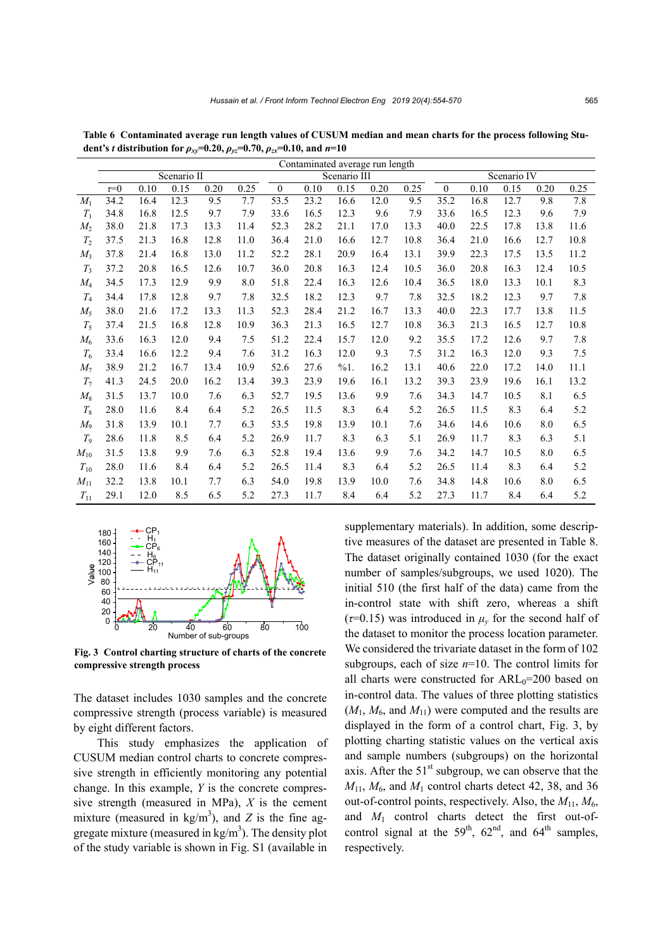|                | Contaminated average run length |      |             |      |      |                   |      |              |      |      |             |      |      |      |      |
|----------------|---------------------------------|------|-------------|------|------|-------------------|------|--------------|------|------|-------------|------|------|------|------|
|                |                                 |      | Scenario II |      |      |                   |      | Scenario III |      |      | Scenario IV |      |      |      |      |
|                | $\tau=0$                        | 0.10 | 0.15        | 0.20 | 0.25 | $\theta$          | 0.10 | 0.15         | 0.20 | 0.25 | $\theta$    | 0.10 | 0.15 | 0.20 | 0.25 |
| $M_1$          | 34.2                            | 16.4 | 12.3        | 9.5  | 7.7  | $\overline{53.5}$ | 23.2 | 16.6         | 12.0 | 9.5  | 35.2        | 16.8 | 12.7 | 9.8  | 7.8  |
| $T_1$          | 34.8                            | 16.8 | 12.5        | 9.7  | 7.9  | 33.6              | 16.5 | 12.3         | 9.6  | 7.9  | 33.6        | 16.5 | 12.3 | 9.6  | 7.9  |
| $M_2$          | 38.0                            | 21.8 | 17.3        | 13.3 | 11.4 | 52.3              | 28.2 | 21.1         | 17.0 | 13.3 | 40.0        | 22.5 | 17.8 | 13.8 | 11.6 |
| $T_2$          | 37.5                            | 21.3 | 16.8        | 12.8 | 11.0 | 36.4              | 21.0 | 16.6         | 12.7 | 10.8 | 36.4        | 21.0 | 16.6 | 12.7 | 10.8 |
| $M_3$          | 37.8                            | 21.4 | 16.8        | 13.0 | 11.2 | 52.2              | 28.1 | 20.9         | 16.4 | 13.1 | 39.9        | 22.3 | 17.5 | 13.5 | 11.2 |
| $T_3$          | 37.2                            | 20.8 | 16.5        | 12.6 | 10.7 | 36.0              | 20.8 | 16.3         | 12.4 | 10.5 | 36.0        | 20.8 | 16.3 | 12.4 | 10.5 |
| $M_4$          | 34.5                            | 17.3 | 12.9        | 9.9  | 8.0  | 51.8              | 22.4 | 16.3         | 12.6 | 10.4 | 36.5        | 18.0 | 13.3 | 10.1 | 8.3  |
| $T_{4}$        | 34.4                            | 17.8 | 12.8        | 9.7  | 7.8  | 32.5              | 18.2 | 12.3         | 9.7  | 7.8  | 32.5        | 18.2 | 12.3 | 9.7  | 7.8  |
| $M_5$          | 38.0                            | 21.6 | 17.2        | 13.3 | 11.3 | 52.3              | 28.4 | 21.2         | 16.7 | 13.3 | 40.0        | 22.3 | 17.7 | 13.8 | 11.5 |
| $T_5$          | 37.4                            | 21.5 | 16.8        | 12.8 | 10.9 | 36.3              | 21.3 | 16.5         | 12.7 | 10.8 | 36.3        | 21.3 | 16.5 | 12.7 | 10.8 |
| $M_6$          | 33.6                            | 16.3 | 12.0        | 9.4  | 7.5  | 51.2              | 22.4 | 15.7         | 12.0 | 9.2  | 35.5        | 17.2 | 12.6 | 9.7  | 7.8  |
| $T_6$          | 33.4                            | 16.6 | 12.2        | 9.4  | 7.6  | 31.2              | 16.3 | 12.0         | 9.3  | 7.5  | 31.2        | 16.3 | 12.0 | 9.3  | 7.5  |
| $M_7$          | 38.9                            | 21.2 | 16.7        | 13.4 | 10.9 | 52.6              | 27.6 | $\%1$ .      | 16.2 | 13.1 | 40.6        | 22.0 | 17.2 | 14.0 | 11.1 |
| $T_7$          | 41.3                            | 24.5 | 20.0        | 16.2 | 13.4 | 39.3              | 23.9 | 19.6         | 16.1 | 13.2 | 39.3        | 23.9 | 19.6 | 16.1 | 13.2 |
| $M_8$          | 31.5                            | 13.7 | 10.0        | 7.6  | 6.3  | 52.7              | 19.5 | 13.6         | 9.9  | 7.6  | 34.3        | 14.7 | 10.5 | 8.1  | 6.5  |
| $T_8$          | 28.0                            | 11.6 | 8.4         | 6.4  | 5.2  | 26.5              | 11.5 | 8.3          | 6.4  | 5.2  | 26.5        | 11.5 | 8.3  | 6.4  | 5.2  |
| $M_{9}$        | 31.8                            | 13.9 | 10.1        | 7.7  | 6.3  | 53.5              | 19.8 | 13.9         | 10.1 | 7.6  | 34.6        | 14.6 | 10.6 | 8.0  | 6.5  |
| T <sub>9</sub> | 28.6                            | 11.8 | 8.5         | 6.4  | 5.2  | 26.9              | 11.7 | 8.3          | 6.3  | 5.1  | 26.9        | 11.7 | 8.3  | 6.3  | 5.1  |
| $M_{10}$       | 31.5                            | 13.8 | 9.9         | 7.6  | 6.3  | 52.8              | 19.4 | 13.6         | 9.9  | 7.6  | 34.2        | 14.7 | 10.5 | 8.0  | 6.5  |
| $T_{10}$       | 28.0                            | 11.6 | 8.4         | 6.4  | 5.2  | 26.5              | 11.4 | 8.3          | 6.4  | 5.2  | 26.5        | 11.4 | 8.3  | 6.4  | 5.2  |
| $M_{11}$       | 32.2                            | 13.8 | 10.1        | 7.7  | 6.3  | 54.0              | 19.8 | 13.9         | 10.0 | 7.6  | 34.8        | 14.8 | 10.6 | 8.0  | 6.5  |
| $T_{11}$       | 29.1                            | 12.0 | 8.5         | 6.5  | 5.2  | 27.3              | 11.7 | 8.4          | 6.4  | 5.2  | 27.3        | 11.7 | 8.4  | 6.4  | 5.2  |

**Table 6 Contaminated average run length values of CUSUM median and mean charts for the process following Student's** *t* distribution for  $\rho_{xy} = 0.20$ ,  $\rho_{yz} = 0.70$ ,  $\rho_{zx} = 0.10$ , and  $n = 10$ 



**Fig. 3 Control charting structure of charts of the concrete compressive strength process**

The dataset includes 1030 samples and the concrete compressive strength (process variable) is measured by eight different factors.

This study emphasizes the application of CUSUM median control charts to concrete compressive strength in efficiently monitoring any potential change. In this example, *Y* is the concrete compressive strength (measured in MPa), *X* is the cement mixture (measured in  $\text{kg/m}^3$ ), and *Z* is the fine aggregate mixture (measured in  $\text{kg/m}^3$ ). The density plot of the study variable is shown in Fig. S1 (available in

supplementary materials). In addition, some descriptive measures of the dataset are presented in Table 8. The dataset originally contained 1030 (for the exact number of samples/subgroups, we used 1020). The initial 510 (the first half of the data) came from the in-control state with shift zero, whereas a shift  $(\tau=0.15)$  was introduced in  $\mu$ <sup>*y*</sup> for the second half of the dataset to monitor the process location parameter. We considered the trivariate dataset in the form of 102 subgroups, each of size *n*=10. The control limits for all charts were constructed for  $ARL_0=200$  based on in-control data. The values of three plotting statistics  $(M_1, M_6, \text{ and } M_{11})$  were computed and the results are displayed in the form of a control chart, Fig. 3, by plotting charting statistic values on the vertical axis and sample numbers (subgroups) on the horizontal axis. After the  $51<sup>st</sup>$  subgroup, we can observe that the  $M_{11}$ ,  $M_6$ , and  $M_1$  control charts detect 42, 38, and 36 out-of-control points, respectively. Also, the *M*11, *M*6, and *M*1 control charts detect the first out-ofcontrol signal at the  $59<sup>th</sup>$ ,  $62<sup>nd</sup>$ , and  $64<sup>th</sup>$  samples, respectively.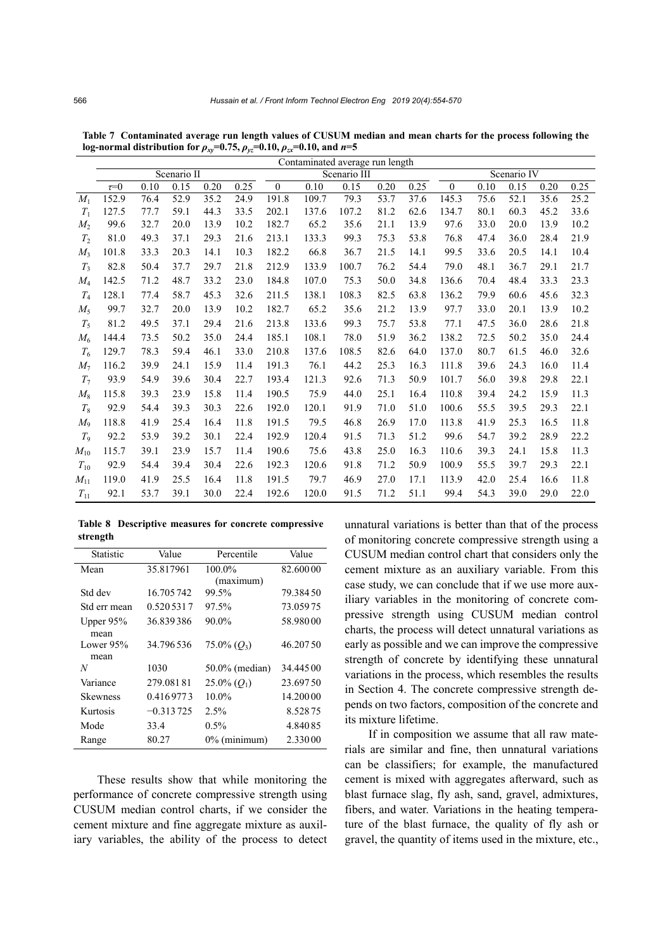|                | Contaminated average run length |      |             |      |      |          |       |              |      |      |                |      |      |      |      |
|----------------|---------------------------------|------|-------------|------|------|----------|-------|--------------|------|------|----------------|------|------|------|------|
|                |                                 |      | Scenario II |      |      |          |       | Scenario III |      |      | Scenario IV    |      |      |      |      |
|                | $\tau=0$                        | 0.10 | 0.15        | 0.20 | 0.25 | $\theta$ | 0.10  | 0.15         | 0.20 | 0.25 | $\overline{0}$ | 0.10 | 0.15 | 0.20 | 0.25 |
| $M_1$          | 152.9                           | 76.4 | 52.9        | 35.2 | 24.9 | 191.8    | 109.7 | 79.3         | 53.7 | 37.6 | 145.3          | 75.6 | 52.1 | 35.6 | 25.2 |
| $T_1$          | 127.5                           | 77.7 | 59.1        | 44.3 | 33.5 | 202.1    | 137.6 | 107.2        | 81.2 | 62.6 | 134.7          | 80.1 | 60.3 | 45.2 | 33.6 |
| $M_{2}$        | 99.6                            | 32.7 | 20.0        | 13.9 | 10.2 | 182.7    | 65.2  | 35.6         | 21.1 | 13.9 | 97.6           | 33.0 | 20.0 | 13.9 | 10.2 |
| $T_2$          | 81.0                            | 49.3 | 37.1        | 29.3 | 21.6 | 213.1    | 133.3 | 99.3         | 75.3 | 53.8 | 76.8           | 47.4 | 36.0 | 28.4 | 21.9 |
| $M_3$          | 101.8                           | 33.3 | 20.3        | 14.1 | 10.3 | 182.2    | 66.8  | 36.7         | 21.5 | 14.1 | 99.5           | 33.6 | 20.5 | 14.1 | 10.4 |
| $T_3$          | 82.8                            | 50.4 | 37.7        | 29.7 | 21.8 | 212.9    | 133.9 | 100.7        | 76.2 | 54.4 | 79.0           | 48.1 | 36.7 | 29.1 | 21.7 |
| $M_{4}$        | 142.5                           | 71.2 | 48.7        | 33.2 | 23.0 | 184.8    | 107.0 | 75.3         | 50.0 | 34.8 | 136.6          | 70.4 | 48.4 | 33.3 | 23.3 |
| $T_{4}$        | 128.1                           | 77.4 | 58.7        | 45.3 | 32.6 | 211.5    | 138.1 | 108.3        | 82.5 | 63.8 | 136.2          | 79.9 | 60.6 | 45.6 | 32.3 |
| $M_5$          | 99.7                            | 32.7 | 20.0        | 13.9 | 10.2 | 182.7    | 65.2  | 35.6         | 21.2 | 13.9 | 97.7           | 33.0 | 20.1 | 13.9 | 10.2 |
| $T_5$          | 81.2                            | 49.5 | 37.1        | 29.4 | 21.6 | 213.8    | 133.6 | 99.3         | 75.7 | 53.8 | 77.1           | 47.5 | 36.0 | 28.6 | 21.8 |
| $M_6$          | 144.4                           | 73.5 | 50.2        | 35.0 | 24.4 | 185.1    | 108.1 | 78.0         | 51.9 | 36.2 | 138.2          | 72.5 | 50.2 | 35.0 | 24.4 |
| $T_6$          | 129.7                           | 78.3 | 59.4        | 46.1 | 33.0 | 210.8    | 137.6 | 108.5        | 82.6 | 64.0 | 137.0          | 80.7 | 61.5 | 46.0 | 32.6 |
| $M_7$          | 116.2                           | 39.9 | 24.1        | 15.9 | 11.4 | 191.3    | 76.1  | 44.2         | 25.3 | 16.3 | 111.8          | 39.6 | 24.3 | 16.0 | 11.4 |
| $T_7$          | 93.9                            | 54.9 | 39.6        | 30.4 | 22.7 | 193.4    | 121.3 | 92.6         | 71.3 | 50.9 | 101.7          | 56.0 | 39.8 | 29.8 | 22.1 |
| $M_8$          | 115.8                           | 39.3 | 23.9        | 15.8 | 11.4 | 190.5    | 75.9  | 44.0         | 25.1 | 16.4 | 110.8          | 39.4 | 24.2 | 15.9 | 11.3 |
| $T_8$          | 92.9                            | 54.4 | 39.3        | 30.3 | 22.6 | 192.0    | 120.1 | 91.9         | 71.0 | 51.0 | 100.6          | 55.5 | 39.5 | 29.3 | 22.1 |
| $M_9$          | 118.8                           | 41.9 | 25.4        | 16.4 | 11.8 | 191.5    | 79.5  | 46.8         | 26.9 | 17.0 | 113.8          | 41.9 | 25.3 | 16.5 | 11.8 |
| T <sub>9</sub> | 92.2                            | 53.9 | 39.2        | 30.1 | 22.4 | 192.9    | 120.4 | 91.5         | 71.3 | 51.2 | 99.6           | 54.7 | 39.2 | 28.9 | 22.2 |
| $M_{10}$       | 115.7                           | 39.1 | 23.9        | 15.7 | 11.4 | 190.6    | 75.6  | 43.8         | 25.0 | 16.3 | 110.6          | 39.3 | 24.1 | 15.8 | 11.3 |
| $T_{10}$       | 92.9                            | 54.4 | 39.4        | 30.4 | 22.6 | 192.3    | 120.6 | 91.8         | 71.2 | 50.9 | 100.9          | 55.5 | 39.7 | 29.3 | 22.1 |
| $M_{11}$       | 119.0                           | 41.9 | 25.5        | 16.4 | 11.8 | 191.5    | 79.7  | 46.9         | 27.0 | 17.1 | 113.9          | 42.0 | 25.4 | 16.6 | 11.8 |
| $T_{11}$       | 92.1                            | 53.7 | 39.1        | 30.0 | 22.4 | 192.6    | 120.0 | 91.5         | 71.2 | 51.1 | 99.4           | 54.3 | 39.0 | 29.0 | 22.0 |

**Table 7 Contaminated average run length values of CUSUM median and mean charts for the process following the log-normal distribution for**  $\rho_{xy} = 0.75$ **,**  $\rho_{yz} = 0.10$ **,**  $\rho_{zx} = 0.10$ **, and**  $n=5$ 

**Table 8 Descriptive measures for concrete compressive strength** 

| Statistic       | Value       | Percentile                 | Value     |
|-----------------|-------------|----------------------------|-----------|
| Mean            | 35.817961   | 100.0%                     | 82.60000  |
|                 |             | (maximum)                  |           |
| Std dev         | 16.705742   | 99.5%                      | 79.38450  |
| Std err mean    | 0.5205317   | 97.5%                      | 73.05975  |
| Upper $95%$     | 36.839386   | $90.0\%$                   | 58.98000  |
| mean            |             |                            |           |
| Lower $95%$     | 34.796.536  | $75.0\%$ ( $O_3$ )         | 46.207.50 |
| mean            |             |                            |           |
| N               | 1030        | $50.0\%$ (median)          | 34.44500  |
| Variance        | 279.08181   | $25.0\%$ (O <sub>1</sub> ) | 23.69750  |
| <b>Skewness</b> | 0.4169773   | $10.0\%$                   | 14.200.00 |
| Kurtosis        | $-0.313725$ | 2.5%                       | 8.52875   |
| Mode            | 33.4        | 0.5%                       | 4.84085   |
| Range           | 80.27       | $0\%$ (minimum)            | 2.33000   |

These results show that while monitoring the performance of concrete compressive strength using CUSUM median control charts, if we consider the cement mixture and fine aggregate mixture as auxiliary variables, the ability of the process to detect unnatural variations is better than that of the process of monitoring concrete compressive strength using a CUSUM median control chart that considers only the cement mixture as an auxiliary variable. From this case study, we can conclude that if we use more auxiliary variables in the monitoring of concrete compressive strength using CUSUM median control charts, the process will detect unnatural variations as early as possible and we can improve the compressive strength of concrete by identifying these unnatural variations in the process, which resembles the results in Section 4. The concrete compressive strength depends on two factors, composition of the concrete and its mixture lifetime.

If in composition we assume that all raw materials are similar and fine, then unnatural variations can be classifiers; for example, the manufactured cement is mixed with aggregates afterward, such as blast furnace slag, fly ash, sand, gravel, admixtures, fibers, and water. Variations in the heating temperature of the blast furnace, the quality of fly ash or gravel, the quantity of items used in the mixture, etc.,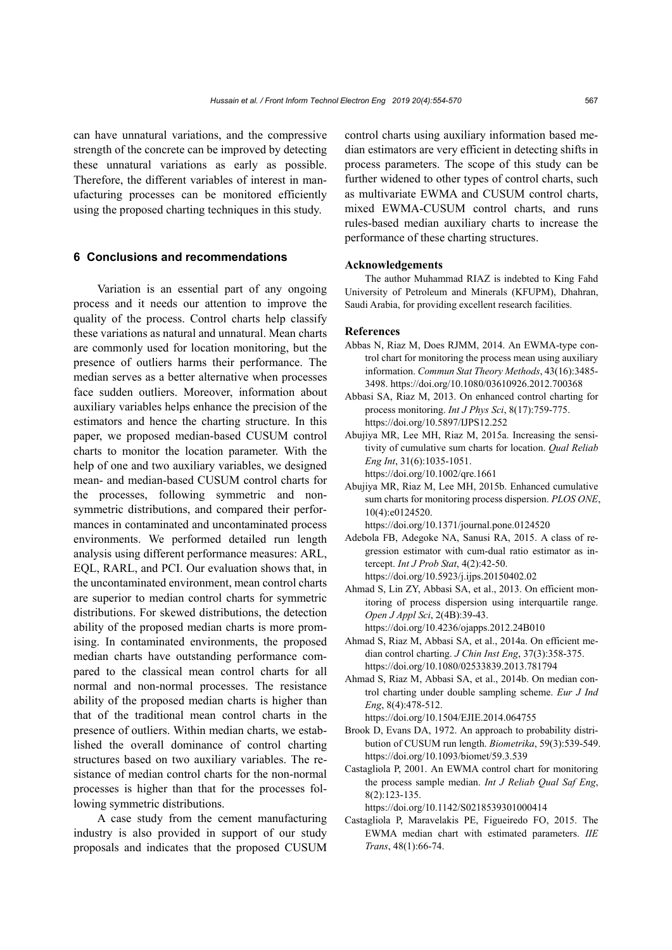can have unnatural variations, and the compressive strength of the concrete can be improved by detecting these unnatural variations as early as possible. Therefore, the different variables of interest in manufacturing processes can be monitored efficiently using the proposed charting techniques in this study.

## **6 Conclusions and recommendations**

Variation is an essential part of any ongoing process and it needs our attention to improve the quality of the process. Control charts help classify these variations as natural and unnatural. Mean charts are commonly used for location monitoring, but the presence of outliers harms their performance. The median serves as a better alternative when processes face sudden outliers. Moreover, information about auxiliary variables helps enhance the precision of the estimators and hence the charting structure. In this paper, we proposed median-based CUSUM control charts to monitor the location parameter. With the help of one and two auxiliary variables, we designed mean- and median-based CUSUM control charts for the processes, following symmetric and nonsymmetric distributions, and compared their performances in contaminated and uncontaminated process environments. We performed detailed run length analysis using different performance measures: ARL, EQL, RARL, and PCI. Our evaluation shows that, in the uncontaminated environment, mean control charts are superior to median control charts for symmetric distributions. For skewed distributions, the detection ability of the proposed median charts is more promising. In contaminated environments, the proposed median charts have outstanding performance compared to the classical mean control charts for all normal and non-normal processes. The resistance ability of the proposed median charts is higher than that of the traditional mean control charts in the presence of outliers. Within median charts, we established the overall dominance of control charting structures based on two auxiliary variables. The resistance of median control charts for the non-normal processes is higher than that for the processes following symmetric distributions.

A case study from the cement manufacturing industry is also provided in support of our study proposals and indicates that the proposed CUSUM control charts using auxiliary information based median estimators are very efficient in detecting shifts in process parameters. The scope of this study can be further widened to other types of control charts, such as multivariate EWMA and CUSUM control charts, mixed EWMA-CUSUM control charts, and runs rules-based median auxiliary charts to increase the performance of these charting structures.

## **Acknowledgements**

The author Muhammad RIAZ is indebted to King Fahd University of Petroleum and Minerals (KFUPM), Dhahran, Saudi Arabia, for providing excellent research facilities.

### **References**

- Abbas N, Riaz M, Does RJMM, 2014. An EWMA-type control chart for monitoring the process mean using auxiliary information. *Commun Stat Theory Methods*, 43(16):3485- 3498. https://doi.org/10.1080/03610926.2012.700368
- Abbasi SA, Riaz M, 2013. On enhanced control charting for process monitoring. *Int J Phys Sci*, 8(17):759-775. https://doi.org/10.5897/IJPS12.252
- Abujiya MR, Lee MH, Riaz M, 2015a. Increasing the sensitivity of cumulative sum charts for location. *Qual Reliab Eng Int*, 31(6):1035-1051. https://doi.org/10.1002/qre.1661
- Abujiya MR, Riaz M, Lee MH, 2015b. Enhanced cumulative sum charts for monitoring process dispersion. *PLOS ONE*, 10(4):e0124520.

https://doi.org/10.1371/journal.pone.0124520

- Adebola FB, Adegoke NA, Sanusi RA, 2015. A class of regression estimator with cum-dual ratio estimator as intercept. *Int J Prob Stat*, 4(2):42-50. https://doi.org/10.5923/j.ijps.20150402.02
- Ahmad S, Lin ZY, Abbasi SA, et al., 2013. On efficient monitoring of process dispersion using interquartile range. *Open J Appl Sci*, 2(4B):39-43. https://doi.org/10.4236/ojapps.2012.24B010
- Ahmad S, Riaz M, Abbasi SA, et al., 2014a. On efficient median control charting. *J Chin Inst Eng*, 37(3):358-375. https://doi.org/10.1080/02533839.2013.781794
- Ahmad S, Riaz M, Abbasi SA, et al., 2014b. On median control charting under double sampling scheme. *Eur J Ind Eng*, 8(4):478-512.

https://doi.org/10.1504/EJIE.2014.064755

- Brook D, Evans DA, 1972. An approach to probability distribution of CUSUM run length. *Biometrika*, 59(3):539-549. https://doi.org/10.1093/biomet/59.3.539
- Castagliola P, 2001. An EWMA control chart for monitoring the process sample median. *Int J Reliab Qual Saf Eng*, 8(2):123-135.

https://doi.org/10.1142/S0218539301000414

Castagliola P, Maravelakis PE, Figueiredo FO, 2015. The EWMA median chart with estimated parameters. *IIE Trans*, 48(1):66-74.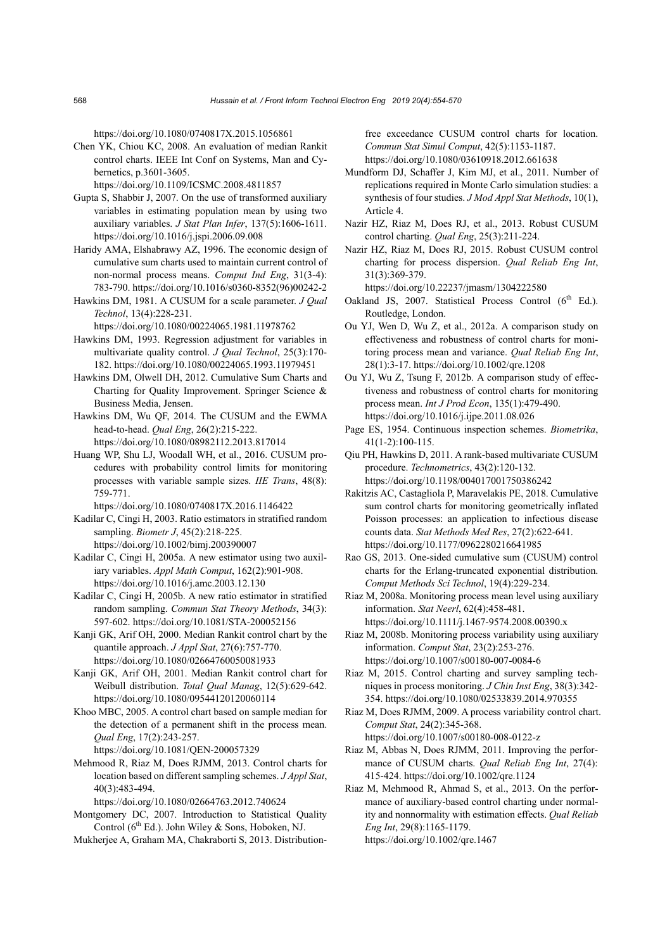https://doi.org/10.1080/0740817X.2015.1056861

Chen YK, Chiou KC, 2008. An evaluation of median Rankit control charts. IEEE Int Conf on Systems, Man and Cybernetics, p.3601-3605.

https://doi.org/10.1109/ICSMC.2008.4811857

- Gupta S, Shabbir J, 2007. On the use of transformed auxiliary variables in estimating population mean by using two auxiliary variables. *J Stat Plan Infer*, 137(5):1606-1611. https://doi.org/10.1016/j.jspi.2006.09.008
- Haridy AMA, Elshabrawy AZ, 1996. The economic design of cumulative sum charts used to maintain current control of non-normal process means. *Comput Ind Eng*, 31(3-4): 783-790. https://doi.org/10.1016/s0360-8352(96)00242-2
- Hawkins DM, 1981. A CUSUM for a scale parameter. *J Qual Technol*, 13(4):228-231.

https://doi.org/10.1080/00224065.1981.11978762

- Hawkins DM, 1993. Regression adjustment for variables in multivariate quality control. *J Qual Technol*, 25(3):170- 182. https://doi.org/10.1080/00224065.1993.11979451
- Hawkins DM, Olwell DH, 2012. Cumulative Sum Charts and Charting for Quality Improvement. Springer Science & Business Media, Jensen.
- Hawkins DM, Wu QF, 2014. The CUSUM and the EWMA head-to-head. *Qual Eng*, 26(2):215-222. https://doi.org/10.1080/08982112.2013.817014
- Huang WP, Shu LJ, Woodall WH, et al., 2016. CUSUM procedures with probability control limits for monitoring processes with variable sample sizes. *IIE Trans*, 48(8): 759-771.

https://doi.org/10.1080/0740817X.2016.1146422

Kadilar C, Cingi H, 2003. Ratio estimators in stratified random sampling. *Biometr J*, 45(2):218-225. https://doi.org/10.1002/bimj.200390007

- Kadilar C, Cingi H, 2005a. A new estimator using two auxiliary variables. *Appl Math Comput*, 162(2):901-908. https://doi.org/10.1016/j.amc.2003.12.130
- Kadilar C, Cingi H, 2005b. A new ratio estimator in stratified random sampling. *Commun Stat Theory Methods*, 34(3): 597-602. https://doi.org/10.1081/STA-200052156
- Kanji GK, Arif OH, 2000. Median Rankit control chart by the quantile approach. *J Appl Stat*, 27(6):757-770. https://doi.org/10.1080/02664760050081933
- Kanji GK, Arif OH, 2001. Median Rankit control chart for Weibull distribution. *Total Qual Manag*, 12(5):629-642. https://doi.org/10.1080/09544120120060114
- Khoo MBC, 2005. A control chart based on sample median for the detection of a permanent shift in the process mean. *Qual Eng*, 17(2):243-257.

https://doi.org/10.1081/QEN-200057329

Mehmood R, Riaz M, Does RJMM, 2013. Control charts for location based on different sampling schemes. *J Appl Stat*, 40(3):483-494.

https://doi.org/10.1080/02664763.2012.740624

- Montgomery DC, 2007. Introduction to Statistical Quality Control ( $6<sup>th</sup>$  Ed.). John Wiley & Sons, Hoboken, NJ.
- Mukherjee A, Graham MA, Chakraborti S, 2013. Distribution-

free exceedance CUSUM control charts for location. *Commun Stat Simul Comput*, 42(5):1153-1187. https://doi.org/10.1080/03610918.2012.661638

- Mundform DJ, Schaffer J, Kim MJ, et al., 2011. Number of replications required in Monte Carlo simulation studies: a synthesis of four studies. *J Mod Appl Stat Methods*, 10(1), Article 4.
- Nazir HZ, Riaz M, Does RJ, et al., 2013. Robust CUSUM control charting. *Qual Eng*, 25(3):211-224.
- Nazir HZ, Riaz M, Does RJ, 2015. Robust CUSUM control charting for process dispersion. *Qual Reliab Eng Int*, 31(3):369-379.

https://doi.org/10.22237/jmasm/1304222580

- Oakland JS, 2007. Statistical Process Control ( $6<sup>th</sup>$  Ed.). Routledge, London.
- Ou YJ, Wen D, Wu Z, et al., 2012a. A comparison study on effectiveness and robustness of control charts for monitoring process mean and variance. *Qual Reliab Eng Int*, 28(1):3-17. https://doi.org/10.1002/qre.1208
- Ou YJ, Wu Z, Tsung F, 2012b. A comparison study of effectiveness and robustness of control charts for monitoring process mean. *Int J Prod Econ*, 135(1):479-490. https://doi.org/10.1016/j.ijpe.2011.08.026
- Page ES, 1954. Continuous inspection schemes. *Biometrika*, 41(1-2):100-115.
- Qiu PH, Hawkins D, 2011. A rank-based multivariate CUSUM procedure. *Technometrics*, 43(2):120-132. https://doi.org/10.1198/004017001750386242
- Rakitzis AC, Castagliola P, Maravelakis PE, 2018. Cumulative sum control charts for monitoring geometrically inflated Poisson processes: an application to infectious disease counts data. *Stat Methods Med Res*, 27(2):622-641. https://doi.org/10.1177/0962280216641985
- Rao GS, 2013. One-sided cumulative sum (CUSUM) control charts for the Erlang-truncated exponential distribution. *Comput Methods Sci Technol*, 19(4):229-234.
- Riaz M, 2008a. Monitoring process mean level using auxiliary information. *Stat Neerl*, 62(4):458-481. https://doi.org/10.1111/j.1467-9574.2008.00390.x
- Riaz M, 2008b. Monitoring process variability using auxiliary information. *Comput Stat*, 23(2):253-276. https://doi.org/10.1007/s00180-007-0084-6
- Riaz M, 2015. Control charting and survey sampling techniques in process monitoring. *J Chin Inst Eng*, 38(3):342- 354. https://doi.org/10.1080/02533839.2014.970355

Riaz M, Does RJMM, 2009. A process variability control chart. *Comput Stat*, 24(2):345-368. https://doi.org/10.1007/s00180-008-0122-z

- Riaz M, Abbas N, Does RJMM, 2011. Improving the performance of CUSUM charts. *Qual Reliab Eng Int*, 27(4): 415-424. https://doi.org/10.1002/qre.1124
- Riaz M, Mehmood R, Ahmad S, et al., 2013. On the performance of auxiliary-based control charting under normality and nonnormality with estimation effects. *Qual Reliab Eng Int*, 29(8):1165-1179. https://doi.org/10.1002/qre.1467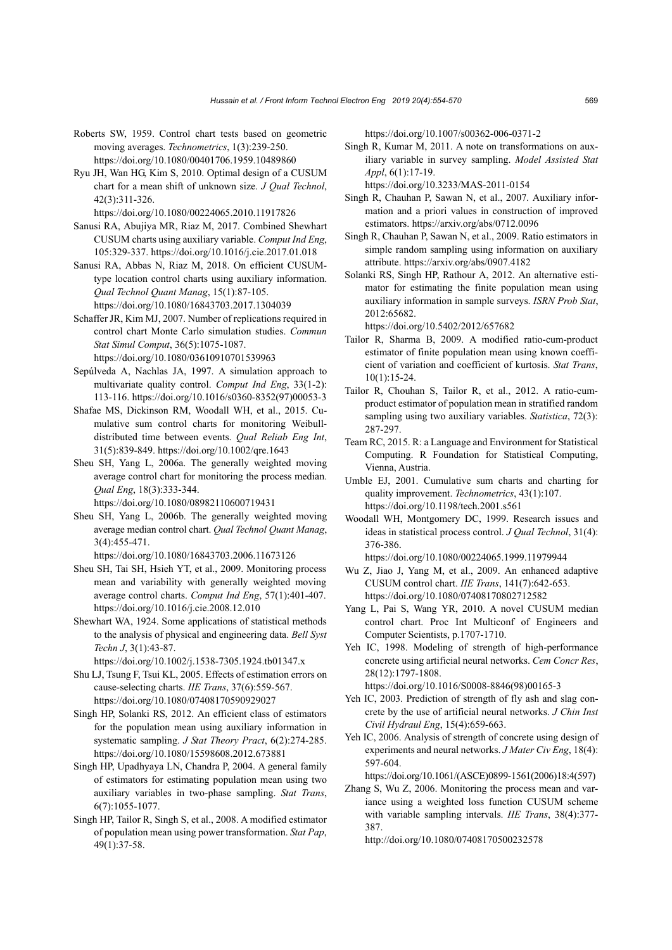- Roberts SW, 1959. Control chart tests based on geometric moving averages. *Technometrics*, 1(3):239-250. https://doi.org/10.1080/00401706.1959.10489860
- Ryu JH, Wan HG, Kim S, 2010. Optimal design of a CUSUM chart for a mean shift of unknown size. *J Qual Technol*, 42(3):311-326.

https://doi.org/10.1080/00224065.2010.11917826

- Sanusi RA, Abujiya MR, Riaz M, 2017. Combined Shewhart CUSUM charts using auxiliary variable. *Comput Ind Eng*, 105:329-337. https://doi.org/10.1016/j.cie.2017.01.018
- Sanusi RA, Abbas N, Riaz M, 2018. On efficient CUSUMtype location control charts using auxiliary information. *Qual Technol Quant Manag*, 15(1):87-105. https://doi.org/10.1080/16843703.2017.1304039
- Schaffer JR, Kim MJ, 2007. Number of replications required in control chart Monte Carlo simulation studies. *Commun Stat Simul Comput*, 36(5):1075-1087. https://doi.org/10.1080/03610910701539963
- Sepúlveda A, Nachlas JA, 1997. A simulation approach to multivariate quality control. *Comput Ind Eng*, 33(1-2): 113-116. https://doi.org/10.1016/s0360-8352(97)00053-3
- Shafae MS, Dickinson RM, Woodall WH, et al., 2015. Cumulative sum control charts for monitoring Weibulldistributed time between events. *Qual Reliab Eng Int*, 31(5):839-849. https://doi.org/10.1002/qre.1643
- Sheu SH, Yang L, 2006a. The generally weighted moving average control chart for monitoring the process median. *Qual Eng*, 18(3):333-344.

https://doi.org/10.1080/08982110600719431

Sheu SH, Yang L, 2006b. The generally weighted moving average median control chart. *Qual Technol Quant Manag*, 3(4):455-471.

https://doi.org/10.1080/16843703.2006.11673126

- Sheu SH, Tai SH, Hsieh YT, et al., 2009. Monitoring process mean and variability with generally weighted moving average control charts. *Comput Ind Eng*, 57(1):401-407. https://doi.org/10.1016/j.cie.2008.12.010
- Shewhart WA, 1924. Some applications of statistical methods to the analysis of physical and engineering data. *Bell Syst Techn J*, 3(1):43-87.

https://doi.org/10.1002/j.1538-7305.1924.tb01347.x

Shu LJ, Tsung F, Tsui KL, 2005. Effects of estimation errors on cause-selecting charts. *IIE Trans*, 37(6):559-567. https://doi.org/10.1080/07408170590929027

- Singh HP, Solanki RS, 2012. An efficient class of estimators for the population mean using auxiliary information in systematic sampling. *J Stat Theory Pract*, 6(2):274-285. https://doi.org/10.1080/15598608.2012.673881
- Singh HP, Upadhyaya LN, Chandra P, 2004. A general family of estimators for estimating population mean using two auxiliary variables in two-phase sampling. *Stat Trans*, 6(7):1055-1077.
- Singh HP, Tailor R, Singh S, et al., 2008. A modified estimator of population mean using power transformation. *Stat Pap*, 49(1):37-58.

https://doi.org/10.1007/s00362-006-0371-2

Singh R, Kumar M, 2011. A note on transformations on auxiliary variable in survey sampling. *Model Assisted Stat Appl*, 6(1):17-19.

https://doi.org/10.3233/MAS-2011-0154

- Singh R, Chauhan P, Sawan N, et al., 2007. Auxiliary information and a priori values in construction of improved estimators. https://arxiv.org/abs/0712.0096
- Singh R, Chauhan P, Sawan N, et al., 2009. Ratio estimators in simple random sampling using information on auxiliary attribute. https://arxiv.org/abs/0907.4182
- Solanki RS, Singh HP, Rathour A, 2012. An alternative estimator for estimating the finite population mean using auxiliary information in sample surveys. *ISRN Prob Stat*, 2012:65682.

https://doi.org/10.5402/2012/657682

- Tailor R, Sharma B, 2009. A modified ratio-cum-product estimator of finite population mean using known coefficient of variation and coefficient of kurtosis. *Stat Trans*, 10(1):15-24.
- Tailor R, Chouhan S, Tailor R, et al., 2012. A ratio-cumproduct estimator of population mean in stratified random sampling using two auxiliary variables. *Statistica*, 72(3): 287-297.
- Team RC, 2015. R: a Language and Environment for Statistical Computing. R Foundation for Statistical Computing, Vienna, Austria.
- Umble EJ, 2001. Cumulative sum charts and charting for quality improvement. *Technometrics*, 43(1):107. https://doi.org/10.1198/tech.2001.s561
- Woodall WH, Montgomery DC, 1999. Research issues and ideas in statistical process control. *J Qual Technol*, 31(4): 376-386.

https://doi.org/10.1080/00224065.1999.11979944

- Wu Z, Jiao J, Yang M, et al., 2009. An enhanced adaptive CUSUM control chart. *IIE Trans*, 141(7):642-653. https://doi.org/10.1080/07408170802712582
- Yang L, Pai S, Wang YR, 2010. A novel CUSUM median control chart. Proc Int Multiconf of Engineers and Computer Scientists, p.1707-1710.
- Yeh IC, 1998. Modeling of strength of high-performance concrete using artificial neural networks. *Cem Concr Res*, 28(12):1797-1808.

https://doi.org/10.1016/S0008-8846(98)00165-3

- Yeh IC, 2003. Prediction of strength of fly ash and slag concrete by the use of artificial neural networks. *J Chin Inst Civil Hydraul Eng*, 15(4):659-663.
- Yeh IC, 2006. Analysis of strength of concrete using design of experiments and neural networks. *J Mater Civ Eng*, 18(4): 597-604.

https://doi.org/10.1061/(ASCE)0899-1561(2006)18:4(597)

Zhang S, Wu Z, 2006. Monitoring the process mean and variance using a weighted loss function CUSUM scheme with variable sampling intervals. *IIE Trans*, 38(4):377- 387.

http://doi.org/10.1080/07408170500232578